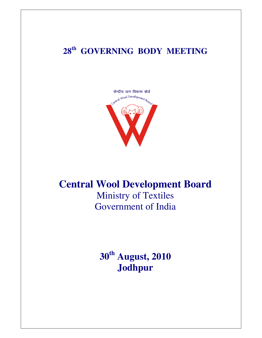# **28th GOVERNING BODY MEETING**



# **Central Wool Development Board**

Ministry of Textiles Government of India

**30th August, 2010 Jodhpur**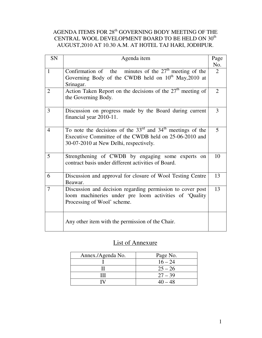## AGENDA ITEMS FOR  $28<sup>th</sup>$  GOVERNING BODY MEETING OF THE CENTRAL WOOL DEVELOPMENT BOARD TO BE HELD ON  $30^{\rm th}$ AUGUST,2010 AT 10.30 A.M. AT HOTEL TAJ HARI, JODHPUR.

| SN             | Agenda item                                                                                                                                                        | Page<br>No.    |
|----------------|--------------------------------------------------------------------------------------------------------------------------------------------------------------------|----------------|
| $\mathbf{1}$   | Confirmation of the minutes of the $27th$ meeting of the<br>Governing Body of the CWDB held on $10^{th}$ May, 2010 at<br>Srinagar.                                 | $\overline{2}$ |
| 2              | Action Taken Report on the decisions of the $27th$ meeting of<br>the Governing Body.                                                                               | $\overline{2}$ |
| 3              | Discussion on progress made by the Board during current<br>financial year 2010-11.                                                                                 | 3              |
| $\overline{4}$ | To note the decisions of the $33rd$ and $34th$ meetings of the<br>Executive Committee of the CWDB held on 25-06-2010 and<br>30-07-2010 at New Delhi, respectively. | 5              |
| 5              | Strengthening of CWDB by engaging some experts on<br>contract basis under different activities of Board.                                                           | 10             |
| 6              | Discussion and approval for closure of Wool Testing Centre<br>Beawar.                                                                                              | 13             |
| 7              | Discussion and decision regarding permission to cover post<br>loom machineries under pre loom activities of 'Quality<br>Processing of Wool' scheme.                | 13             |
|                | Any other item with the permission of the Chair.                                                                                                                   |                |

## List of Annexure

| Annex./Agenda No. | Page No.  |
|-------------------|-----------|
|                   | $16 - 24$ |
|                   | $25 - 26$ |
|                   | $27 - 39$ |
|                   | $40 - 48$ |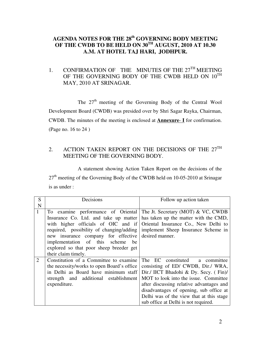## **AGENDA NOTES FOR THE 28th GOVERNING BODY MEETING OF THE CWDB TO BE HELD ON 30TH AUGUST, 2010 AT 10.30 A.M. AT HOTEL TAJ HARI, JODHPUR.**

## 1. CONFIRMATION OF THE MINUTES OF THE  $27<sup>TH</sup>$  MEETING OF THE GOVERNING BODY OF THE CWDB HELD ON  $10^{TH}$ MAY, 2010 AT SRINAGAR.

The  $27<sup>th</sup>$  meeting of the Governing Body of the Central Wool Development Board (CWDB) was presided over by Shri Sagar Rayka, Chairman, CWDB. The minutes of the meeting is enclosed at **Annexure**- **I** for confirmation. (Page no. 16 to 24 )

## 2. ACTION TAKEN REPORT ON THE DECISIONS OF THE  $27<sup>TH</sup>$ MEETING OF THE GOVERNING BODY.

 A statement showing Action Taken Report on the decisions of the 27<sup>th</sup> meeting of the Governing Body of the CWDB held on 10-05-2010 at Srinagar is as under :

| S            | Decisions                                  | Follow up action taken                   |  |  |
|--------------|--------------------------------------------|------------------------------------------|--|--|
| N            |                                            |                                          |  |  |
| $\mathbf{1}$ | To examine performance of Oriental         | The Jt. Secretary (MOT) & VC, CWDB       |  |  |
|              | Insurance Co. Ltd. and take up matter      | has taken up the matter with the CMD,    |  |  |
|              | with higher officials of OIC and if        | Oriental Insurance Co., New Delhi to     |  |  |
|              | required, possibility of changing/adding   | implement Sheep Insurance Scheme in      |  |  |
|              | new insurance company for effective        | desired manner.                          |  |  |
|              | implementation of this scheme<br>be        |                                          |  |  |
|              | explored so that poor sheep breeder get    |                                          |  |  |
|              | their claim timely.                        |                                          |  |  |
| 2            | Constitution of a Committee to examine     | The EC constituted a committee           |  |  |
|              | the necessity/works to open Board's office | consisting of ED/ CWDB, Dir./ WRA,       |  |  |
|              | in Delhi as Board have minimum staff       | Dir./ IICT Bhadohi & Dy. Secy. (Fin)/    |  |  |
|              | strength and additional establishment      | MOT to look into the issue. Committee    |  |  |
|              | expenditure.                               | after discussing relative advantages and |  |  |
|              |                                            | disadvantages of opening, sub office at  |  |  |
|              |                                            | Delhi was of the view that at this stage |  |  |
|              |                                            | sub office at Delhi is not required.     |  |  |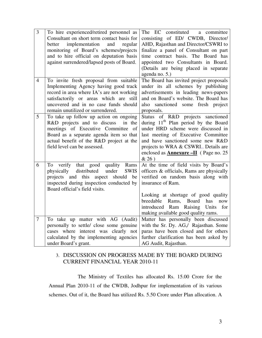| 3<br>To hire experienced/retired personnel as<br>The EC constituted<br>a committee<br>consisting of ED/ CWDB, Director/<br>Consultant on short term contact basis for<br>implementation<br>AHD, Rajasthan and Director/CSWRI to<br>and<br>regular<br>better<br>monitoring of Board's schemes/projects<br>finalize a panel of Consultant on part<br>and to hire official on deputation basis<br>time contract basis. The Board has<br>against surrendered/lapsed posts of Board.<br>appointed two Consultants in Board.<br>(Details are being placed in separate<br>agenda no. 5.)<br>The Board has invited project proposals<br>To invite fresh proposal from suitable<br>$\overline{4}$<br>Implementing Agency having good track<br>under its all schemes by publishing<br>record in area where IA's are not working<br>advertisements in leading news-papers<br>satisfactorily or areas which are still<br>and on Board's website. The Board has<br>uncovered and in no case funds should<br>also sanctioned some fresh project<br>remain unutilized or surrendered.<br>proposals.<br>5<br>To take up follow up action on ongoing<br>Status of R&D projects sanctioned<br>during 11 <sup>th</sup> Plan period by the Board<br>R&D projects and to discuss<br>in the<br>under HRD scheme were discussed in<br>meetings of Executive Committee<br>- of<br>Board as a separate agenda item so that<br>last meeting of Executive Committee<br>actual benefit of the R&D project at the<br>and have sanctioned some new R&D<br>projects to WRA & CSWRI Details are<br>field level can be assessed.<br>enclosed as <b>Annexure -II</b> (Page no. 25)<br>& 26)<br>6<br>verify that good quality Rams<br>At the time of field visits by Board's<br>To<br>distributed<br>under<br>officers & officials, Rams are physically<br>physically<br><b>SWIS</b><br>projects and this<br>verified on random basis along with<br>aspect<br>should<br>be<br>inspected during inspection conducted by<br>insurance of Ram.<br>Board official's field visits.<br>Looking at shortage of good quality<br>breedable<br>Rams,<br>Board<br>has<br>now<br>introduced Ram<br>Raising Units<br>for<br>making available good quality rams.<br>Matter has personally been discussed<br>$\overline{7}$<br>To take up matter with AG (Audit)<br>personally to settle/ close some genuine<br>with the Sr. Dy. AG,/ Rajasthan. Some<br>cases where interest was clearly not<br>paras have been closed and for others<br>calculated by the implementing agencies<br>further clarification has been asked by<br>under Board's grant.<br>AG Audit, Rajasthan. |  |  |
|----------------------------------------------------------------------------------------------------------------------------------------------------------------------------------------------------------------------------------------------------------------------------------------------------------------------------------------------------------------------------------------------------------------------------------------------------------------------------------------------------------------------------------------------------------------------------------------------------------------------------------------------------------------------------------------------------------------------------------------------------------------------------------------------------------------------------------------------------------------------------------------------------------------------------------------------------------------------------------------------------------------------------------------------------------------------------------------------------------------------------------------------------------------------------------------------------------------------------------------------------------------------------------------------------------------------------------------------------------------------------------------------------------------------------------------------------------------------------------------------------------------------------------------------------------------------------------------------------------------------------------------------------------------------------------------------------------------------------------------------------------------------------------------------------------------------------------------------------------------------------------------------------------------------------------------------------------------------------------------------------------------------------------------------------------------------------------------------------------------------------------------------------------------------------------------------------------------------------------------------------------------------------------------------------------------------------------------------------------------------------------------------------------------------------------------------------------------------------------------------------------------------------------------------------------------------------------------------------------------------------|--|--|
|                                                                                                                                                                                                                                                                                                                                                                                                                                                                                                                                                                                                                                                                                                                                                                                                                                                                                                                                                                                                                                                                                                                                                                                                                                                                                                                                                                                                                                                                                                                                                                                                                                                                                                                                                                                                                                                                                                                                                                                                                                                                                                                                                                                                                                                                                                                                                                                                                                                                                                                                                                                                                            |  |  |
|                                                                                                                                                                                                                                                                                                                                                                                                                                                                                                                                                                                                                                                                                                                                                                                                                                                                                                                                                                                                                                                                                                                                                                                                                                                                                                                                                                                                                                                                                                                                                                                                                                                                                                                                                                                                                                                                                                                                                                                                                                                                                                                                                                                                                                                                                                                                                                                                                                                                                                                                                                                                                            |  |  |
|                                                                                                                                                                                                                                                                                                                                                                                                                                                                                                                                                                                                                                                                                                                                                                                                                                                                                                                                                                                                                                                                                                                                                                                                                                                                                                                                                                                                                                                                                                                                                                                                                                                                                                                                                                                                                                                                                                                                                                                                                                                                                                                                                                                                                                                                                                                                                                                                                                                                                                                                                                                                                            |  |  |
|                                                                                                                                                                                                                                                                                                                                                                                                                                                                                                                                                                                                                                                                                                                                                                                                                                                                                                                                                                                                                                                                                                                                                                                                                                                                                                                                                                                                                                                                                                                                                                                                                                                                                                                                                                                                                                                                                                                                                                                                                                                                                                                                                                                                                                                                                                                                                                                                                                                                                                                                                                                                                            |  |  |
|                                                                                                                                                                                                                                                                                                                                                                                                                                                                                                                                                                                                                                                                                                                                                                                                                                                                                                                                                                                                                                                                                                                                                                                                                                                                                                                                                                                                                                                                                                                                                                                                                                                                                                                                                                                                                                                                                                                                                                                                                                                                                                                                                                                                                                                                                                                                                                                                                                                                                                                                                                                                                            |  |  |
|                                                                                                                                                                                                                                                                                                                                                                                                                                                                                                                                                                                                                                                                                                                                                                                                                                                                                                                                                                                                                                                                                                                                                                                                                                                                                                                                                                                                                                                                                                                                                                                                                                                                                                                                                                                                                                                                                                                                                                                                                                                                                                                                                                                                                                                                                                                                                                                                                                                                                                                                                                                                                            |  |  |

## 3. DISCUSSION ON PROGRESS MADE BY THE BOARD DURING CURRENT FINANCIAL YEAR 2010-11

 The Ministry of Textiles has allocated Rs. 15.00 Crore for the Annual Plan 2010-11 of the CWDB, Jodhpur for implementation of its various schemes. Out of it, the Board has utilized Rs. 5.50 Crore under Plan allocation. A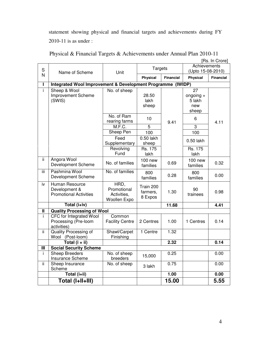statement showing physical and financial targets and achievements during FY 2010-11 is as under :

|     | [Rs. In Crore]                                              |                         |                    |                  |                   |                  |
|-----|-------------------------------------------------------------|-------------------------|--------------------|------------------|-------------------|------------------|
|     |                                                             |                         | <b>Targets</b>     |                  | Achievements      |                  |
| S   | Name of Scheme                                              | Unit                    |                    |                  | (Upto 15-08-2010) |                  |
| N   |                                                             |                         | Physical           | <b>Financial</b> | <b>Physical</b>   | <b>Financial</b> |
| L   | Integrated Wool Improvement & Development Programme (IWIDP) |                         |                    |                  |                   |                  |
| ī   | Sheep & Wool                                                | No. of sheep            |                    |                  | $\overline{27}$   |                  |
|     | Improvement Scheme                                          |                         | 28.50              |                  | ongoing $+$       |                  |
|     | (SWIS)                                                      |                         | lakh               |                  | 5 lakh            |                  |
|     |                                                             |                         | sheep              |                  | new               |                  |
|     |                                                             |                         |                    |                  | sheep             |                  |
|     |                                                             | No. of Ram              | 10                 |                  | 6                 |                  |
|     |                                                             | rearing farms<br>M.F.C. | 9.41               |                  | $\overline{3}$    | 4.11             |
|     |                                                             |                         |                    | 5                |                   |                  |
|     |                                                             | Sheep Pen               | 100                |                  | 100               |                  |
|     |                                                             | Feed<br>Supplementary   | 0.50 lakh<br>sheep |                  | 0.50 lakh         |                  |
|     |                                                             | Revolving               | Rs. 175            |                  | Rs. 175           |                  |
|     |                                                             | Fund                    | lakh               |                  | lakh              |                  |
| ΪÏ  | Angora Wool                                                 | No. of families         | <b>100 new</b>     | 0.69             | <b>100 new</b>    | 0.32             |
|     | Development Scheme                                          |                         | families           |                  | families          |                  |
| iii | Pashmina Wool                                               | No. of families         | 800                | 0.28             | 800               | 0.00             |
|     | <b>Development Scheme</b>                                   |                         | families           |                  | families          |                  |
| iv  | Human Resource                                              | HRD,                    | Train 200          |                  |                   |                  |
|     | Development &                                               | Promotional             | farmers,           | 1.30             | 90                | 0.98             |
|     | <b>Promotional Activities</b>                               | Activities,             | 8 Expos            |                  | trainees          |                  |
|     |                                                             | Woollen Expo            |                    |                  |                   |                  |
|     | Total (i+iv)                                                |                         |                    | 11.68            |                   | 4.41             |
| Ш   | <b>Quality Processing of Wool</b>                           |                         |                    |                  |                   |                  |
| i.  | CFC for Integrated Wool                                     | Common                  |                    |                  |                   |                  |
|     | Processing (Pre-loom                                        | <b>Facility Centre</b>  | 2 Centres          | 1.00             | 1 Centres         | 0.14             |
| ii  | activities)<br><b>Quality Processing of</b>                 | Shawl/Carpet            | 1 Centre           | 1.32             |                   |                  |
|     | Wool<br>(Post-loom)                                         | Finishing               |                    |                  |                   |                  |
|     | Total $(i + ii)$                                            |                         |                    | 2.32             |                   | 0.14             |
| Ш   | <b>Social Security Scheme</b>                               |                         |                    |                  |                   |                  |
| İ.  | <b>Sheep Breeders</b>                                       | No. of sheep            |                    | 0.25             |                   | 0.00             |
|     | Insurance Scheme                                            | breeders                | 15,000             |                  |                   |                  |
| ii. | Sheep Insurance                                             | No. of sheep            | 3 lakh             | 0.75             |                   | 0.00             |
|     | Scheme                                                      |                         |                    |                  |                   |                  |
|     | Total (i+ii)                                                |                         |                    | 1.00             |                   | 0.00             |
|     | Total (I+II+III)                                            |                         |                    | 15.00            |                   | 5.55             |

Physical & Financial Targets & Achievements under Annual Plan 2010-11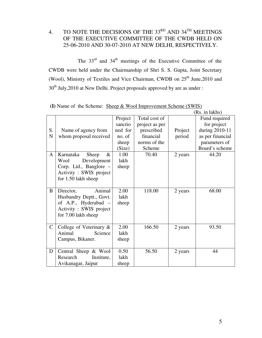4. TO NOTE THE DECISIONS OF THE 33<sup>RD</sup> AND 34<sup>TH</sup> MEETINGS OF THE EXECUTIVE COMMITTEE OF THE CWDB HELD ON 25-06-2010 AND 30-07-2010 AT NEW DELHI, RESPECTIVELY.

The  $33<sup>rd</sup>$  and  $34<sup>th</sup>$  meetings of the Executive Committee of the CWDB were held under the Chairmanship of Shri S. S. Gupta, Joint Secretary (Wool), Ministry of Textiles and Vice Chairman, CWDB on  $25<sup>th</sup>$  June, 2010 and 30<sup>th</sup> July, 2010 at New Delhi. Project proposals approved by are as under :

|              |                            |         |                |         | (Rs. in lakhs)   |
|--------------|----------------------------|---------|----------------|---------|------------------|
|              |                            | Project | Total cost of  |         | Fund required    |
|              |                            | sanctio | project as per |         | for project      |
| S.           | Name of agency from        | ned for | prescribed     | Project | during 2010-11   |
| N            | whom proposal received     | no. of  | financial      | period  | as per financial |
|              |                            | sheep   | norms of the   |         | parameters of    |
|              |                            | (Size)  | Scheme         |         | Board's scheme   |
| $\mathbf{A}$ | Karnataka<br>Sheep<br>$\&$ | 1.00    | 70.40          | 2 years | 44.20            |
|              | Wool<br>Development        | lakh    |                |         |                  |
|              | Corp. Ltd., Banglore -     | sheep   |                |         |                  |
|              | Activity : SWIS project    |         |                |         |                  |
|              | for 1.50 lakh sheep        |         |                |         |                  |
|              |                            |         |                |         |                  |
| B            | Animal<br>Director,        | 2.00    | 118.00         | 2 years | 68.00            |
|              | Husbandry Deptt., Govt.    | lakh    |                |         |                  |
|              | of A.P., Hyderabad –       | sheep   |                |         |                  |
|              | Activity : SWIS project    |         |                |         |                  |
|              | for 7.00 lakh sheep        |         |                |         |                  |
|              |                            |         |                |         |                  |
| $\mathbf C$  | College of Veterinary &    | 2.00    | 166.50         | 2 years | 93.50            |
|              | Animal<br>Science          | lakh    |                |         |                  |
|              | Campus, Bikaner.           | sheep   |                |         |                  |
|              |                            |         |                |         |                  |
| D            | Central Sheep & Wool       | 0.50    | 56.50          | 2 years | 44               |
|              | Research<br>Institute,     | lakh    |                |         |                  |
|              | Avikanagar, Jaipur         | sheep   |                |         |                  |

**(I)** Name of the Scheme: Sheep & Wool Improvement Scheme (SWIS)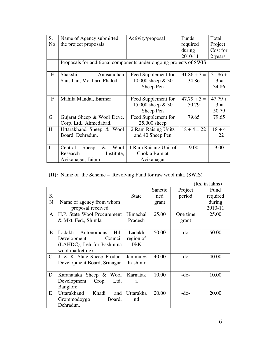| S.             | Name of Agency submitted                                           | Activity/proposal     | Funds         | Total     |
|----------------|--------------------------------------------------------------------|-----------------------|---------------|-----------|
| N <sub>o</sub> | the project proposals                                              |                       | required      | Project   |
|                |                                                                    |                       | during        | Cost for  |
|                |                                                                    |                       | 2010-11       | 2 years   |
|                | Proposals for additional components under ongoing projects of SWIS |                       |               |           |
| E              | Shakshi<br>Anusandhan                                              | Feed Supplement for   | $31.86 + 3 =$ | $31.86 +$ |
|                | Sansthan, Mokhari, Phalodi                                         | 10,000 sheep & 30     | 34.86         | $3 =$     |
|                |                                                                    | Sheep Pen             |               | 34.86     |
|                |                                                                    |                       |               |           |
| $\mathbf{F}$   | Mahila Mandal, Barmer                                              | Feed Supplement for   | $47.79 + 3 =$ | $47.79 +$ |
|                |                                                                    | 15,000 sheep & 30     | 50.79         | $3 =$     |
|                |                                                                    | Sheep Pen             |               | 50.79     |
| G              | Gujarat Sheep & Wool Deve.                                         | Feed Supplement for   | 79.65         | 79.65     |
|                | Corp. Ltd., Ahmedabad.                                             | 25,000 sheep          |               |           |
| H              | Uttarakhand Sheep & Wool                                           | 2 Ram Raising Units   | $18 + 4 = 22$ | $18 + 4$  |
|                | Board, Dehradun.                                                   | and 40 Sheep Pen      |               | $= 22$    |
|                |                                                                    |                       |               |           |
| I              | Sheep<br>&<br>Wool<br>Central                                      | 1 Ram Raising Unit of | 9.00          | 9.00      |
|                | Research<br>Institute,                                             | Chokla Ram at         |               |           |
|                | Avikanagar, Jaipur                                                 | Avikanagar            |               |           |

**(II):** Name of the Scheme – <u>Revolving Fund for raw wool mkt. (SWIS)</u>

|              |                              |              |         |          | (Rs. in lakhs) |
|--------------|------------------------------|--------------|---------|----------|----------------|
|              |                              |              | Sanctio | Project  | Fund           |
| S.           |                              | <b>State</b> | ned     | period   | required       |
| $\mathbf N$  | Name of agency from whom     |              | grant   |          | during         |
|              | proposal received            |              |         |          | 2010-11        |
| A            | H.P. State Wool Procurement  | Himachal     | 25.00   | One time | 25.00          |
|              | & Mkt. Fed., Shimla          | Pradesh      |         | grant    |                |
|              |                              |              |         |          |                |
| B            | Ladakh<br>Hill<br>Autonomous | Ladakh       | 50.00   | $-do-$   | 50.00          |
|              | Development<br>Council       | region of    |         |          |                |
|              | (LAHDC), Leh for Pashmina    | J&K          |         |          |                |
|              | wool marketing).             |              |         |          |                |
| $\mathsf{C}$ | J. & K. State Sheep Product  | Jammu &      | 40.00   | -do-     | 40.00          |
|              | Development Board, Srinagar  | Kashmir      |         |          |                |
|              |                              |              |         |          |                |
| D            | Karanataka Sheep &<br>Wool   | Karnatak     | 10.00   | -do-     | 10.00          |
|              | Crop.<br>Development<br>Ltd, | a            |         |          |                |
|              | Banglore                     |              |         |          |                |
| E            | Uttarakhand<br>Khadi<br>and  | Uttarakha    | 20.00   | $-do-$   | 20.00          |
|              | Grommodoygo<br>Board,        | nd           |         |          |                |
|              | Dehradun.                    |              |         |          |                |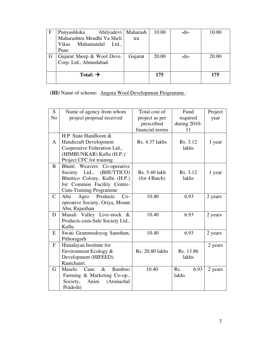| F | Ahilyadevi<br>Punyashloka    | Maharash | 10.00 | -do- | 10.00 |
|---|------------------------------|----------|-------|------|-------|
|   | Maharashtra Mendhi Va Sheli  | tra      |       |      |       |
|   | Mahamandal<br>Vikas<br>Ltd., |          |       |      |       |
|   | Pune                         |          |       |      |       |
|   | Gujarat Sheep & Wool Deve.   | Gujarat  | 20.00 | -do- | 20.00 |
|   | Corp. Ltd., Ahmedabad.       |          |       |      |       |
|   |                              |          |       |      |       |
|   | Total: $\rightarrow$         |          | 175   |      | 175   |
|   |                              |          |       |      |       |

**(III)** Name of scheme: **Angora Wool Development Programme**:

| S.             | Name of agency from whom         | Total cost of         | Fund         | Project |
|----------------|----------------------------------|-----------------------|--------------|---------|
| N <sub>o</sub> | project proposal received        | project as per        | required     | year    |
|                |                                  | prescribed            | during 2010- |         |
|                |                                  | financial norms       | 11           |         |
|                | H.P. State Handloom &            |                       |              |         |
| A              | <b>Handicraft Development</b>    | <b>Rs. 4.37 lakhs</b> | Rs. 3.12     | 1 year  |
|                | Cooperative Federation Ltd.,     |                       | lakhs        |         |
|                | (HIMBUNKAR) Kullu (H.P.):        |                       |              |         |
|                | Project CFC for training         |                       |              |         |
| B              | Bhutti Weavers<br>Co-operative   |                       |              |         |
|                | Society Ltd.,<br>(BHUTTICO)      | Rs. 5.40 lakh         | Rs. 3.12     | 1 year  |
|                | Bhuttico Colony, Kullu (H.P.)    | (for 4 Batch)         | lakhs        |         |
|                | for Common Facility Centre-      |                       |              |         |
|                | <b>Cum-Training Programme</b>    |                       |              |         |
| $\mathcal{C}$  | Products<br>Abu<br>Agro<br>$Co-$ | 10.40                 | 6.93         | 2 years |
|                | operative Society, Oriya, Mount  |                       |              |         |
|                | Abu, Rajasthan                   |                       |              |         |
| D              | Manali Valley Live-stock &       | 10.40                 | 6.93         | 2 years |
|                | Products-cum-Sale Society Ltd.,  |                       |              |         |
|                | Kullu                            |                       |              |         |
| E              | Swati Grammodoyog Sansthan,      | 10.40                 | 6.93         | 2 years |
|                | Pithoragarh                      |                       |              |         |
| $\mathbf{F}$   | Himalayan Institute for          |                       |              | 2 years |
|                | Environment Ecology &            | Rs. 20.80 lakhs       | Rs. 13.86    |         |
|                | Development (HIFEED)             |                       | lakhs        |         |
|                | Ranichauri.                      |                       |              |         |
| G              | Maselo<br>$\&$<br>Bamboo<br>Cane | 10.40                 | Rs.<br>6.93  | 2 years |
|                | Farming & Marketing Co-op.,      |                       | lakhs        |         |
|                | Society,<br>Anini<br>(Arunachal  |                       |              |         |
|                | Pradesh)                         |                       |              |         |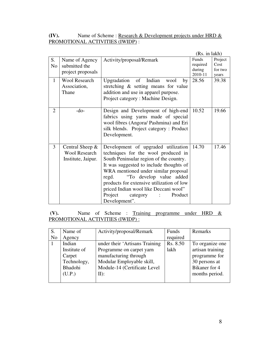## **(IV).** Name of Scheme : <u>Research & Development projects under HRD &</u> PROMOTIONAL ACTIVITIES (IWIDP) :

|                |                      |                                           | (Rs. in lakh) |         |
|----------------|----------------------|-------------------------------------------|---------------|---------|
| S.             | Name of Agency       | Activity/proposal/Remark                  | Funds         | Project |
| N <sub>o</sub> | submitted the        |                                           | required      | Cost    |
|                | project proposals    |                                           | during        | for two |
|                |                      |                                           | 2010-11       | years   |
| $\mathbf{1}$   | <b>Wool Research</b> | Upgradation of Indian<br>wool<br>by       | 28.56         | 39.38   |
|                | Association,         | stretching & setting means for value      |               |         |
|                | Thane                | addition and use in apparel purpose.      |               |         |
|                |                      | Project category: Machine Design.         |               |         |
|                |                      |                                           |               |         |
| $\overline{2}$ | $-do-$               | Design and Development of high-end        | 10.52         | 19.66   |
|                |                      | fabrics using yarns made of special       |               |         |
|                |                      | wool fibres (Angora/ Pashmina) and Eri    |               |         |
|                |                      | silk blends. Project category: Product    |               |         |
|                |                      | Development.                              |               |         |
|                |                      |                                           |               |         |
| 3              | Central Sheep $\&$   | Development of upgraded utilization       | 14.70         | 17.46   |
|                | <b>Wool Research</b> | techniques for the wool produced in       |               |         |
|                | Institute, Jaipur.   | South Peninsular region of the country.   |               |         |
|                |                      | It was suggested to include thoughts of   |               |         |
|                |                      | WRA mentioned under similar proposal      |               |         |
|                |                      | regd. "To develop value added             |               |         |
|                |                      | products for extensive utilization of low |               |         |
|                |                      | priced Indian wool like Deccani wool"     |               |         |
|                |                      | Project<br>Product<br>category            |               |         |
|                |                      | Development".                             |               |         |

 **(V).** Name of Scheme : Training programme under HRD & PROMOTIONAL ACTIVITIES (IWIDP) :

|    | Name of      | Activity/proposal/Remark       | Funds    | Remarks          |
|----|--------------|--------------------------------|----------|------------------|
| No | Agency       |                                | required |                  |
|    | Indian       | under their 'Artisans Training | Rs. 8.50 | To organize one  |
|    | Institute of | Programme on carpet yarn       | lakh     | artisan training |
|    | Carpet       | manufacturing through          |          | programme for    |
|    | Technology,  | Modular Employable skill,      |          | 30 persons at    |
|    | Bhadohi      | Module-14 (Certificate Level   |          | Bikaner for 4    |
|    | (U.P.)       | $II$ :                         |          | months period.   |
|    |              |                                |          |                  |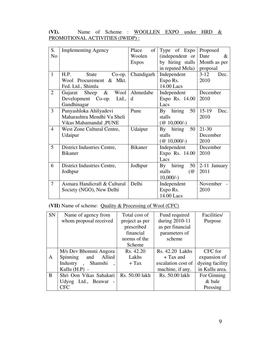## (VI). Name of Scheme : WOOLLEN EXPO under HRD & PROMOTIONAL ACTIVITIES (IWIDP) :

| S.             | <b>Implementing Agency</b>   | $\sigma$<br>Place | Type of Expo                           | Proposed         |
|----------------|------------------------------|-------------------|----------------------------------------|------------------|
| N <sub>o</sub> |                              | Woolen            | (independent or                        | Date<br>$\&$     |
|                |                              | <b>Expos</b>      | by hiring stalls                       | Month as per     |
|                |                              |                   | in reputed Mela)                       | proposal         |
| $\mathbf{1}$   | H.P.<br>State<br>$Co$ -op.   | Chandigarh        | Independent                            | $3 - 12$<br>Dec. |
|                | Wool Procurement & Mkt.      |                   | Expo Rs.                               | 2010             |
|                | Fed. Ltd., Shimla            |                   | 14.00 Lacs                             |                  |
| $\overline{2}$ | Gujarat Sheep & Wool         | Ahmedabe          | Independent                            | December         |
|                | Development Co-op.<br>Ltd.,  | d                 | Expo Rs. 14.00                         | 2010             |
|                | Gandhinagar                  |                   | Lacs                                   |                  |
| $\overline{3}$ | Punyashloka Ahilyadevi       | Pune              | By hiring<br>50                        | $15-19$<br>Dec.  |
|                | Maharashtra Mendhi Va Sheli  |                   | stalls                                 | 2010             |
|                | Vikas Mahamandal , PUNE      |                   | $(\textcircled{a} 10,000/-)$           |                  |
| $\overline{4}$ | West Zone Cultural Centre,   | Udaipur           | hiring<br>50<br>$\mathbf{B}\mathbf{v}$ | $21 - 30$        |
|                | Udaipur                      |                   | stalls                                 | December         |
|                |                              |                   | $(\text{\textcircled{a}} 10,000/-)$    | 2010             |
| 5              | District Industries Centre,  | <b>Bikaner</b>    | Independent                            | December         |
|                | <b>Bikaner</b>               |                   | Expo Rs. 14.00                         | 2010             |
|                |                              |                   | Lacs                                   |                  |
| 6              | District Industries Centre,  | Jodhpur           | hiring<br>50<br>$\mathbf{B}\mathbf{y}$ | 2-11 January     |
|                | Jodhpur                      |                   | stalls<br>$\overline{a}$               | 2011             |
|                |                              |                   | $10,000/-$ )                           |                  |
| $\overline{7}$ | Asmara Handicraft & Cultural | Delhi             | Independent                            | November         |
|                | Society (NGO), New Delhi     |                   | Expo Rs.                               | 2010             |
|                |                              |                   | 14.00 Lacs                             |                  |

## **(VII)** Name of scheme: Quality & Processing of Wool (CFC)

| <b>SN</b>    | Name of agency from     | Total cost of  | Fund required      | Facilities/     |
|--------------|-------------------------|----------------|--------------------|-----------------|
|              | whom proposal received  | project as per | during 2010-11     | Purpose         |
|              |                         | prescribed     | as per financial   |                 |
|              |                         | financial      | parameters of      |                 |
|              |                         | norms of the   | scheme             |                 |
|              |                         | Scheme         |                    |                 |
|              | M/s Dev Bhommi Angora   | Rs. 42.20      | Rs. 42.20 Lakhs    | CFC for         |
| $\mathbf{A}$ | Spinning and<br>Allied  | Lakhs          | $+$ Tax and        | expansion of    |
|              | Shamshi<br>Industry,    | $+$ Tax        | escalation cost of | dyeing facility |
|              | Kullu $(H.P)$ -         |                | machine, if any.   | in Kullu area.  |
| B            | Shri Oon Vikas Sahakari | Rs. 50.00 lakh | Rs. 50.00 lakh     | For Ginning     |
|              | Udyog Ltd., Beawar -    |                |                    | & bale          |
|              | <b>CFC</b>              |                |                    | Pressing        |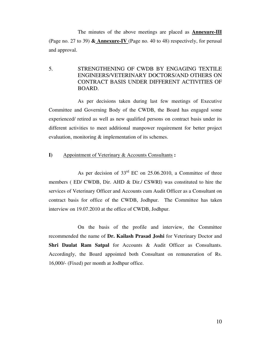The minutes of the above meetings are placed as **Annexure-III** (Page no. 27 to 39) **& Annexure-IV** (Page no. 40 to 48) respectively, for perusal and approval.

## 5. STRENGTHENING OF CWDB BY ENGAGING TEXTILE ENGINEERS/VETERINARY DOCTORS/AND OTHERS ON CONTRACT BASIS UNDER DIFFERENT ACTIVITIES OF BOARD.

 As per decisions taken during last few meetings of Executive Committee and Governing Body of the CWDB, the Board has engaged some experienced/ retired as well as new qualified persons on contract basis under its different activities to meet additional manpower requirement for better project evaluation, monitoring & implementation of its schemes.

#### **I)** Appointment of Veterinary & Accounts Consultants **:**

As per decision of  $33<sup>rd</sup>$  EC on 25.06.2010, a Committee of three members ( ED/ CWDB, Dir. AHD & Dir./ CSWRI) was constituted to hire the services of Veterinary Officer and Accounts cum Audit Officer as a Consultant on contract basis for office of the CWDB, Jodhpur. The Committee has taken interview on 19.07.2010 at the office of CWDB, Jodhpur.

 On the basis of the profile and interview, the Committee recommended the name of **Dr. Kailash Prasad Joshi** for Veterinary Doctor and **Shri Daulat Ram Satpal** for Accounts & Audit Officer as Consultants. Accordingly, the Board appointed both Consultant on remuneration of Rs. 16,000/- (Fixed) per month at Jodhpur office.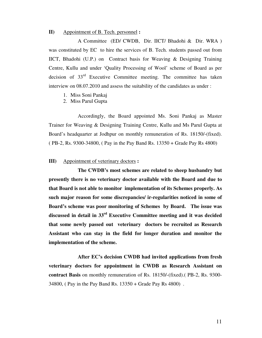#### **II)** Appointment of B. Tech. personnel **:**

 A Committee (ED/ CWDB, Dir. IICT/ Bhadohi & Dir. WRA ) was constituted by EC to hire the services of B. Tech. students passed out from IICT, Bhadohi (U.P.) on Contract basis for Weaving & Designing Training Centre, Kullu and under 'Quality Processing of Wool' scheme of Board as per decision of 33<sup>rd</sup> Executive Committee meeting. The committee has taken interview on 08.07.2010 and assess the suitability of the candidates as under :

- 1. Miss Soni Pankaj
- 2. Miss Parul Gupta

 Accordingly, the Board appointed Ms. Soni Pankaj as Master Trainer for Weaving & Designing Training Centre, Kullu and Ms Parul Gupta at Board's headquarter at Jodhpur on monthly remuneration of Rs. 18150/-(fixed). ( PB-2, Rs. 9300-34800, ( Pay in the Pay Band Rs. 13350 + Grade Pay Rs 4800)

#### **III)** Appointment of veterinary doctors **:**

 **The CWDB's most schemes are related to sheep husbandry but presently there is no veterinary doctor available with the Board and due to that Board is not able to monitor implementation of its Schemes properly. As such major reason for some discrepancies/ ir-regularities noticed in some of Board's scheme was poor monitoring of Schemes by Board. The issue was discussed in detail in 33rd Executive Committee meeting and it was decided that some newly passed out veterinary doctors be recruited as Research Assistant who can stay in the field for longer duration and monitor the implementation of the scheme.** 

 **After EC's decision CWDB had invited applications from fresh veterinary doctors for appointment in CWDB as Research Assistant on contract Basis** on monthly remuneration of Rs. 18150/-(fixed).( PB-2, Rs. 9300- 34800, ( Pay in the Pay Band Rs. 13350 + Grade Pay Rs 4800) .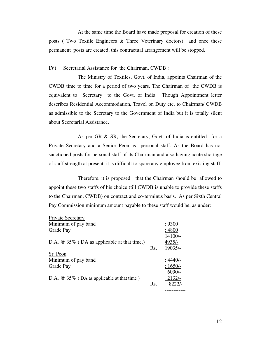At the same time the Board have made proposal for creation of these posts ( Two Textile Engineers & Three Veterinary doctors) and once these permanent posts are created, this contractual arrangement will be stopped.

**IV)** Secretarial Assistance for the Chairman, CWDB :

 The Ministry of Textiles, Govt. of India, appoints Chairman of the CWDB time to time for a period of two years. The Chairman of the CWDB is equivalent to Secretary to the Govt. of India. Though Appointment letter describes Residential Accommodation, Travel on Duty etc. to Chairman/ CWDB as admissible to the Secretary to the Government of India but it is totally silent about Secretarial Assistance.

 As per GR & SR, the Secretary, Govt. of India is entitled for a Private Secretary and a Senior Peon as personal staff. As the Board has not sanctioned posts for personal staff of its Chairman and also having acute shortage of staff strength at present, it is difficult to spare any employee from existing staff.

 Therefore, it is proposed that the Chairman should be allowed to appoint these two staffs of his choice (till CWDB is unable to provide these staffs to the Chairman, CWDB) on contract and co-terminus basis. As per Sixth Central Pay Commission minimum amount payable to these staff would be, as under:

| Private Secretary                             |     |           |
|-----------------------------------------------|-----|-----------|
| Minimum of pay band                           |     | : 9300    |
| Grade Pay                                     |     | :4800     |
|                                               |     | 14100/-   |
| D.A. $@$ 35% (DA as applicable at that time.) |     | 4935/-    |
|                                               | Rs. | $19035/-$ |
| Sr. Peon                                      |     |           |
| Minimum of pay band                           |     | : 4440/-  |
| Grade Pay                                     |     | $:1650/-$ |
|                                               |     | $6090/-$  |
| D.A. $@35\%$ (DA as applicable at that time)  |     | $2132/-$  |
|                                               | Rs. | $8222/-$  |
|                                               |     |           |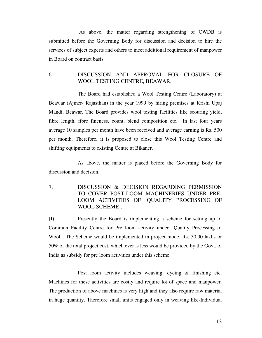As above, the matter regarding strengthening of CWDB is submitted before the Governing Body for discussion and decision to hire the services of subject experts and others to meet additional requirement of manpower in Board on contract basis.

## 6. DISCUSSION AND APPROVAL FOR CLOSURE OF WOOL TESTING CENTRE, BEAWAR.

 The Board had established a Wool Testing Centre (Laboratory) at Beawar (Ajmer- Rajasthan) in the year 1999 by hiring premises at Krishi Upaj Mandi, Beawar. The Board provides wool testing facilities like scouring yield, fibre length, fibre fineness, count, blend composition etc. In last four years average 10 samples per month have been received and average earning is Rs. 500 per month. Therefore, it is proposed to close this Wool Testing Centre and shifting equipments to existing Centre at Bikaner.

 As above, the matter is placed before the Governing Body for discussion and decision.

7. DISCUSSION & DECISION REGARDING PERMISSION TO COVER POST-LOOM MACHINERIES UNDER PRE-LOOM ACTIVITIES OF 'QUALITY PROCESSING OF WOOL SCHEME'.

**(I)** Presently the Board is implementing a scheme for setting up of Common Facility Centre for Pre loom activity under "Quality Processing of Wool". The Scheme would be implemented in project mode. Rs. 50.00 lakhs or 50% of the total project cost, which ever is less would be provided by the Govt. of India as subsidy for pre loom activities under this scheme.

 Post loom activity includes weaving, dyeing & finishing etc. Machines for these activities are costly and require lot of space and manpower. The production of above machines is very high and they also require raw material in huge quantity. Therefore small units engaged only in weaving like-Individual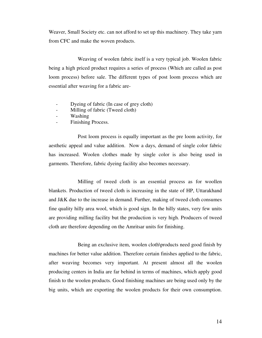Weaver, Small Society etc. can not afford to set up this machinery. They take yarn from CFC and make the woven products.

 Weaving of woolen fabric itself is a very typical job. Woolen fabric being a high priced product requires a series of process (Which are called as post loom process) before sale. The different types of post loom process which are essential after weaving for a fabric are-

- Dyeing of fabric (In case of grey cloth)
- Milling of fabric (Tweed cloth)
- Washing
- Finishing Process.

 Post loom process is equally important as the pre loom activity, for aesthetic appeal and value addition. Now a days, demand of single color fabric has increased. Woolen clothes made by single color is also being used in garments. Therefore, fabric dyeing facility also becomes necessary.

 Milling of tweed cloth is an essential process as for woollen blankets. Production of tweed cloth is increasing in the state of HP, Uttarakhand and J&K due to the increase in demand. Further, making of tweed cloth consumes fine quality hilly area wool, which is good sign. In the hilly states, very few units are providing milling facility but the production is very high. Producers of tweed cloth are therefore depending on the Amritsar units for finishing.

 Being an exclusive item, woolen cloth\products need good finish by machines for better value addition. Therefore certain finishes applied to the fabric, after weaving becomes very important. At present almost all the woolen producing centers in India are far behind in terms of machines, which apply good finish to the woolen products. Good finishing machines are being used only by the big units, which are exporting the woolen products for their own consumption.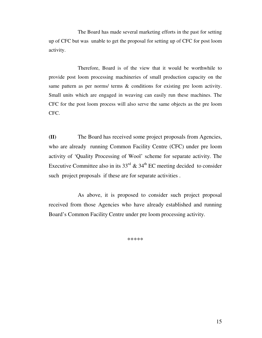The Board has made several marketing efforts in the past for setting up of CFC but was unable to get the proposal for setting up of CFC for post loom activity.

 Therefore, Board is of the view that it would be worthwhile to provide post loom processing machineries of small production capacity on the same pattern as per norms/ terms & conditions for existing pre loom activity. Small units which are engaged in weaving can easily run these machines. The CFC for the post loom process will also serve the same objects as the pre loom CFC.

**(II)** The Board has received some project proposals from Agencies, who are already running Common Facility Centre (CFC) under pre loom activity of 'Quality Processing of Wool' scheme for separate activity. The Executive Committee also in its  $33<sup>rd</sup>$  &  $34<sup>th</sup>$  EC meeting decided to consider such project proposals if these are for separate activities .

 As above, it is proposed to consider such project proposal received from those Agencies who have already established and running Board's Common Facility Centre under pre loom processing activity.

\*\*\*\*\*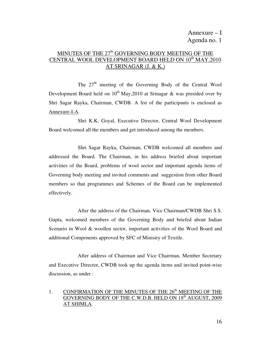## MINUTES OF THE  $27<sup>th</sup>$  GOVERNING BODY MEETING OF THE CENTRAL WOOL DEVELOPMENT BOARD HELD ON 10<sup>th</sup> MAY, 2010 AT SRINAGAR (J. & K.)

The  $27<sup>th</sup>$  meeting of the Governing Body of the Central Wool Development Board held on  $10^{th}$  May, 2010 at Srinagar & was presided over by Shri Sagar Rayka, Chairman, CWDB. A list of the participants is enclosed as Annexure-I-A.

 Shri K.K. Goyal, Executive Director, Central Wool Development Board welcomed all the members and get introduced among the members.

 Shri Sagar Rayka, Chairman, CWDB welcomed all members and addressed the Board. The Chairman, in his address briefed about important activities of the Board, problems of wool sector and important agenda items of Governing body meeting and invited comments and suggestion from other Board members so that programmes and Schemes of the Board can be implemented effectively.

 After the address of the Chairman, Vice Chairman/CWDB Shri S.S. Gupta, welcomed members of the Governing Body and briefed about Indian Scenario in Wool & woollen sector, important activities of the Wool Board and additional Components approved by SFC of Ministry of Textile.

 After address of Chairman and Vice Chairman, Member Secretary and Executive Director, CWDB took up the agenda items and invited point-wise discussion, as under :

## 1. CONFIRMATION OF THE MINUTES OF THE  $26<sup>th</sup>$  MEETING OF THE GOVERNING BODY OF THE C.W.D.B. HELD ON 18<sup>th</sup> AUGUST, 2009 AT SHIMLA.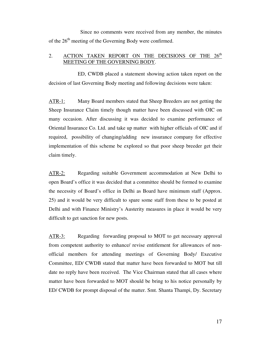Since no comments were received from any member, the minutes of the  $26<sup>th</sup>$  meeting of the Governing Body were confirmed.

#### 2. ACTION TAKEN REPORT ON THE DECISIONS OF THE 26<sup>th</sup> MEETING OF THE GOVERNING BODY.

 ED, CWDB placed a statement showing action taken report on the decision of last Governing Body meeting and following decisions were taken:

ATR-1: Many Board members stated that Sheep Breeders are not getting the Sheep Insurance Claim timely though matter have been discussed with OIC on many occasion. After discussing it was decided to examine performance of Oriental Insurance Co. Ltd. and take up matter with higher officials of OIC and if required, possibility of changing/adding new insurance company for effective implementation of this scheme be explored so that poor sheep breeder get their claim timely.

ATR-2: Regarding suitable Government accommodation at New Delhi to open Board's office it was decided that a committee should be formed to examine the necessity of Board's office in Delhi as Board have minimum staff (Approx. 25) and it would be very difficult to spare some staff from these to be posted at Delhi and with Finance Ministry's Austerity measures in place it would be very difficult to get sanction for new posts.

ATR-3: Regarding forwarding proposal to MOT to get necessary approval from competent authority to enhance/ revise entitlement for allowances of nonofficial members for attending meetings of Governing Body/ Executive Committee, ED/ CWDB stated that matter have been forwarded to MOT but till date no reply have been received. The Vice Chairman stated that all cases where matter have been forwarded to MOT should be bring to his notice personally by ED/ CWDB for prompt disposal of the matter. Smt. Shanta Thampi, Dy. Secretary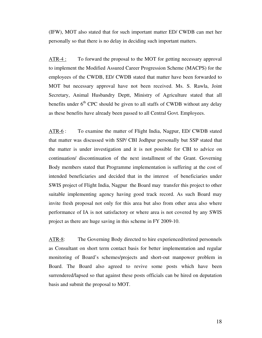(IFW), MOT also stated that for such important matter ED/ CWDB can met her personally so that there is no delay in deciding such important matters.

ATR-4 : To forward the proposal to the MOT for getting necessary approval to implement the Modified Assured Career Progression Scheme (MACPS) for the employees of the CWDB, ED/ CWDB stated that matter have been forwarded to MOT but necessary approval have not been received. Ms. S. Rawla, Joint Secretary, Animal Husbandry Deptt, Ministry of Agriculture stated that all benefits under  $6<sup>th</sup>$  CPC should be given to all staffs of CWDB without any delay as these benefits have already been passed to all Central Govt. Employees.

ATR-6 : To examine the matter of Flight India, Nagpur, ED/ CWDB stated that matter was discussed with SSP/ CBI Jodhpur personally but SSP stated that the matter is under investigation and it is not possible for CBI to advice on continuation/ discontinuation of the next installment of the Grant. Governing Body members stated that Programme implementation is suffering at the cost of intended beneficiaries and decided that in the interest of beneficiaries under SWIS project of Flight India, Nagpur the Board may transfer this project to other suitable implementing agency having good track record. As such Board may invite fresh proposal not only for this area but also from other area also where performance of IA is not satisfactory or where area is not covered by any SWIS project as there are huge saving in this scheme in FY 2009-10.

ATR-8: The Governing Body directed to hire experienced/retired personnels as Consultant on short term contact basis for better implementation and regular monitoring of Board's schemes/projects and short-out manpower problem in Board. The Board also agreed to revive some posts which have been surrendered/lapsed so that against these posts officials can be hired on deputation basis and submit the proposal to MOT.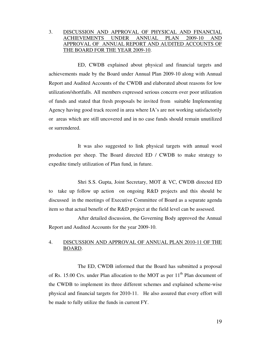#### 3. DISCUSSION AND APPROVAL OF PHYSICAL AND FINANCIAL ACHIEVEMENTS UNDER ANNUAL PLAN 2009-10 APPROVAL OF ANNUAL REPORT AND AUDITED ACCOUNTS OF THE BOARD FOR THE YEAR 2009-10.

 ED, CWDB explained about physical and financial targets and achievements made by the Board under Annual Plan 2009-10 along with Annual Report and Audited Accounts of the CWDB and elaborated about reasons for low utilization/shortfalls. All members expressed serious concern over poor utilization of funds and stated that fresh proposals be invited from suitable Implementing Agency having good track record in area where IA's are not working satisfactorily or areas which are still uncovered and in no case funds should remain unutilized or surrendered.

 It was also suggested to link physical targets with annual wool production per sheep. The Board directed ED / CWDB to make strategy to expedite timely utilization of Plan fund, in future.

 Shri S.S. Gupta, Joint Secretary, MOT & VC, CWDB directed ED to take up follow up action on ongoing R&D projects and this should be discussed in the meetings of Executive Committee of Board as a separate agenda item so that actual benefit of the R&D project at the field level can be assessed.

 After detailed discussion, the Governing Body approved the Annual Report and Audited Accounts for the year 2009-10.

#### 4. DISCUSSION AND APPROVAL OF ANNUAL PLAN 2010-11 OF THE BOARD.

 The ED, CWDB informed that the Board has submitted a proposal of Rs. 15.00 Crs. under Plan allocation to the MOT as per  $11<sup>th</sup>$  Plan document of the CWDB to implement its three different schemes and explained scheme-wise physical and financial targets for 2010-11. He also assured that every effort will be made to fully utilize the funds in current FY.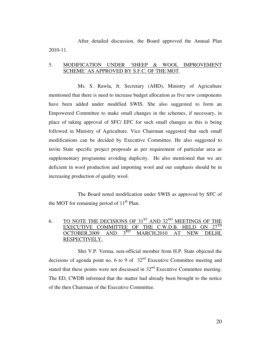After detailed discussion, the Board approved the Annual Plan 2010-11.

#### 5. MODIFICATION UNDER 'SHEEP & WOOL IMPROVEMENT SCHEME' AS APPROVED BY S.F.C. OF THE MOT.

 Ms. S. Rawla, Jt. Secretary (AHD), Ministry of Agriculture mentioned that there is need to increase budget allocation as five new components have been added under modified SWIS. She also suggested to form an Empowered Committee to make small changes in the schemes, if necessary, in place of taking approval of SFC/ EFC for such small changes as this is being followed in Ministry of Agriculture. Vice Chairman suggested that such small modifications can be decided by Executive Committee. He also suggested to invite State specific project proposals as per requirement of particular area as supplementary programme avoiding duplicity. He also mentioned that we are deficient in wool production and importing wool and our emphasis should be in increasing production of quality wool.

 The Board noted modification under SWIS as approved by SFC of the MOT for remaining period of  $11<sup>th</sup>$  Plan.

## 6. TO NOTE THE DECISIONS OF  $31^{ST}$  AND  $32^{ND}$  MEETINGS OF THE EXECUTIVE COMMITTEE OF THE C.W.D.B. HELD ON OCTOBER.2009 AND 3<sup>RD</sup> MARCH 2010 AT NEW D OCTOBER, 2009 AND  $3^{RD}$  MARCH, 2010 AT NEW DELHI, RESPECTIVELY.

 Shri V.P. Verma, non-official member from H.P. State objected the decisions of agenda point no. 6 to 9 of  $32<sup>nd</sup>$  Executive Committee meeting and stated that these points were not discussed in  $32<sup>nd</sup>$  Executive Committee meeting. The ED, CWDB informed that the matter had already been brought to the notice of the then Chairman of the Executive Committee.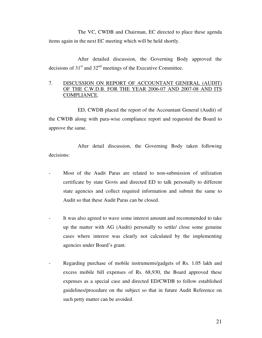The VC, CWDB and Chairman, EC directed to place these agenda items again in the next EC meeting which will be held shortly.

 After detailed discussion, the Governing Body approved the decisions of  $31<sup>st</sup>$  and  $32<sup>nd</sup>$  meetings of the Executive Committee.

#### 7. DISCUSSION ON REPORT OF ACCOUNTANT GENERAL (AUDIT) OF THE C.W.D.B. FOR THE YEAR 2006-07 AND 2007-08 AND ITS COMPLIANCE.

 ED, CWDB placed the report of the Accountant General (Audit) of the CWDB along with para-wise compliance report and requested the Board to approve the same.

 After detail discussion, the Governing Body taken following decisions:

- Most of the Audit Paras are related to non-submission of utilization certificate by state Govts and directed ED to talk personally to different state agencies and collect required information and submit the same to Audit so that these Audit Paras can be closed.
- It was also agreed to wave some interest amount and recommended to take up the matter with AG (Audit) personally to settle/ close some genuine cases where interest was clearly not calculated by the implementing agencies under Board's grant.
- Regarding purchase of mobile instruments/gadgets of Rs. 1.05 lakh and excess mobile bill expenses of Rs. 68,930, the Board approved these expenses as a special case and directed ED/CWDB to follow established guidelines/procedure on the subject so that in future Audit Reference on such petty matter can be avoided.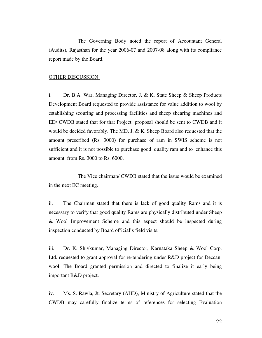The Governing Body noted the report of Accountant General (Audits), Rajasthan for the year 2006-07 and 2007-08 along with its compliance report made by the Board.

#### OTHER DISCUSSION:

i. Dr. B.A. War, Managing Director, J. & K. State Sheep & Sheep Products Development Board requested to provide assistance for value addition to wool by establishing scouring and processing facilities and sheep shearing machines and ED/ CWDB stated that for that Project proposal should be sent to CWDB and it would be decided favorably. The MD, J. & K. Sheep Board also requested that the amount prescribed (Rs. 3000) for purchase of ram in SWIS scheme is not sufficient and it is not possible to purchase good quality ram and to enhance this amount from Rs. 3000 to Rs. 6000.

 The Vice chairman/ CWDB stated that the issue would be examined in the next EC meeting.

ii. The Chairman stated that there is lack of good quality Rams and it is necessary to verify that good quality Rams are physically distributed under Sheep & Wool Improvement Scheme and this aspect should be inspected during inspection conducted by Board official's field visits.

iii. Dr. K. Shivkumar, Managing Director, Karnataka Sheep & Wool Corp. Ltd. requested to grant approval for re-tendering under R&D project for Deccani wool. The Board granted permission and directed to finalize it early being important R&D project.

iv. Ms. S. Rawla, Jt. Secretary (AHD), Ministry of Agriculture stated that the CWDB may carefully finalize terms of references for selecting Evaluation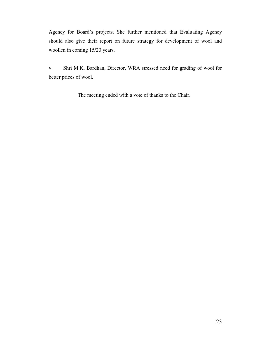Agency for Board's projects. She further mentioned that Evaluating Agency should also give their report on future strategy for development of wool and woollen in coming 15/20 years.

v. Shri M.K. Bardhan, Director, WRA stressed need for grading of wool for better prices of wool.

The meeting ended with a vote of thanks to the Chair.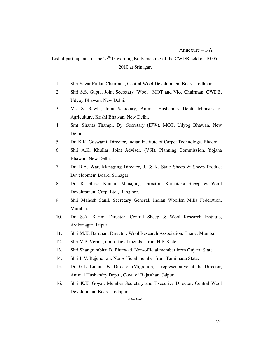#### Annexure – I-A

## List of participants for the  $27<sup>th</sup>$  Governing Body meeting of the CWDB held on 10-05-2010 at Srinagar.

- 1. Shri Sagar Raika, Chairman, Central Wool Development Board, Jodhpur.
- 2. Shri S.S. Gupta, Joint Secretary (Wool), MOT and Vice Chairman, CWDB, Udyog Bhawan, New Delhi.
- 3. Ms. S. Rawla, Joint Secretary, Animal Husbandry Deptt, Ministry of Agriculture, Krishi Bhawan, New Delhi.
- 4. Smt. Shanta Thampi, Dy. Secretary (IFW), MOT, Udyog Bhawan, New Delhi.
- 5. Dr. K.K. Goswami, Director, Indian Institute of Carpet Technology, Bhadoi.
- 6. Shri A.K. Khullar, Joint Adviser, (VSI), Planning Commission, Yojana Bhawan, New Delhi.
- 7. Dr. B.A. War, Managing Director, J. & K. State Sheep & Sheep Product Development Board, Srinagar.
- 8. Dr. K. Shiva Kumar, Managing Director, Karnataka Sheep & Wool Development Corp. Ltd., Banglore.
- 9. Shri Mahesh Sanil, Secretary General, Indian Woollen Mills Federation, Mumbai.
- 10. Dr. S.A. Karim, Director, Central Sheep & Wool Research Institute, Avikanagar, Jaipur.
- 11. Shri M.K. Bardhan, Director, Wool Research Association, Thane, Mumbai.
- 12. Shri V.P. Verma, non-official member from H.P. State.
- 13. Shri Shangrambhai B. Bharwad, Non-official member from Gujarat State.
- 14. Shri P.V. Rajendiran, Non-official member from Tamilnadu State.
- 15. Dr. G.L. Lunia, Dy. Director (Migration) representative of the Director, Animal Husbandry Deptt., Govt. of Rajasthan, Jaipur.
- 16. Shri K.K. Goyal, Member Secretary and Executive Director, Central Wool Development Board, Jodhpur.

\*\*\*\*\*\*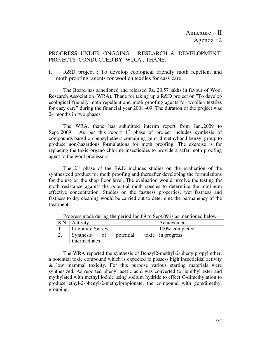## PROGRESS UNDER ONGOING 'RESEARCH & DEVELOPMENT' PROJECTS CONDUCTED BY W.R.A., THANE.

I. R&D project : To develop ecological friendly moth repellent and moth proofing agents for woollen textiles for easy care.

 The Board has sanctioned and released Rs. 20.57 lakhs in favour of Wool Research Association (WRA), Thane for taking up a R&D project on "To develop ecological friendly moth repellent and moth proofing agents for woollen textiles for easy care" during the financial year 2008 -09. The duration of the project was 24 months in two phases.

 The WRA, thane has submitted interim report from Jan.,2009 to Sept., 2009. As per this report  $1<sup>st</sup>$  phase of project includes synthesis of compounds based on benzyl ethers containing gem- dimethyl and benzyl group to produce non-hazardous formulations for moth proofing. The exercise is for replacing the toxic organo chlorine insecticides to provide a safer moth proofing agent to the wool processors.

The  $2<sup>nd</sup>$  phase of the R&D includes studies on the evaluation of the synthesized product for moth proofing and thereafter developing the formulations for the use on the shop floor level. The evaluation would involve the testing for moth resistance against the potential moth species to determine the minimum effective concentration. Studies on the fastness properties, wet fastness and fastness to dry cleaning would be carried out to determine the permanency of the treatment.

| S.N. | <b>Activity</b>                                      | Achievement               |
|------|------------------------------------------------------|---------------------------|
|      | <b>Literature Survey</b>                             | 100% completed            |
|      | <b>Synthesis</b><br>potential<br>0Ť<br>intermediates | toxic $\vert$ in progress |

Progress made during the period Jan.09 to Sept.09 is as mentioned below-

 The WRA reported the synthesis of Benzyl2-methyl-2-phenylpropyl ether, a potential toxic compound which is expected to possess high insecticidal activity & low mammal toxicity. For this purpose various starting materials were synthesized. As reported phenyl acetic acid was converted to its ethyl ester and mythylated with methyl iodide using sodium hydride to effect C-dimethylation to produce ethyl-2-phenyl-2-methylpropionate, the compound with gemdimethyl grouping.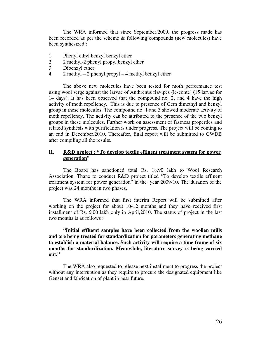The WRA informed that since September,2009, the progress made has been recorded as per the scheme & following compounds (new molecules) have been synthesized :

- 1. Phenyl ethyl benzyl benzyl ether
- 2. 2 methyl-2 phenyl propyl benzyl ether
- 3. Dibenzyl ether
- 4. 2 methyl 2 phenyl propyl 4 methyl benzyl ether

 The above new molecules have been tested for moth performance test using wool serge against the larvae of Anthrenus flavipes (le-conte) (15 larvae for 14 days). It has been observed that the compound no. 2, and 4 have the high activity of moth repellency. This is due to presence of Gem dimethyl and benzyl group in these molecules. The compound no. 1 and 3 showed moderate activity of moth repellency. The activity can be attributed to the presence of the two benzyl groups in these molecules. Further work on assessment of fastness properties and related synthesis with purification is under progress. The project will be coming to an end in December,2010. Thereafter, final report will be submitted to CWDB after compiling all the results.

#### **II**. **R&D project : "To develop textile effluent treatment system for power generation**"

 The Board has sanctioned total Rs. 18.90 lakh to Wool Research Association, Thane to conduct R&D project titled "To develop textile effluent treatment system for power generation" in the year 2009-10. The duration of the project was 24 months in two phases.

 The WRA informed that first interim Report will be submitted after working on the project for about 10-12 months and they have received first installment of Rs. 5.00 lakh only in April,2010. The status of project in the last two months is as follows :

 **"Initial effluent samples have been collected from the woollen mills and are being treated for standardization for parameters generating methane to establish a material balance. Such activity will require a time frame of six months for standardization. Meanwhile, literature survey is being carried out."** 

 The WRA also requested to release next installment to progress the project without any interruption as they require to procure the designated equipment like Genset and fabrication of plant in near future.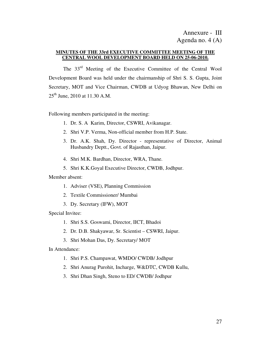#### **MINUTES OF THE 33rd EXECUTIVE COMMITTEE MEETING OF THE CENTRAL WOOL DEVELOPMENT BOARD HELD ON 25-06-2010.**

 The 33rd Meeting of the Executive Committee of the Central Wool Development Board was held under the chairmanship of Shri S. S. Gupta, Joint Secretary, MOT and Vice Chairman, CWDB at Udyog Bhawan, New Delhi on  $25<sup>th</sup>$  June, 2010 at 11.30 A.M.

Following members participated in the meeting:

- 1. Dr. S. A Karim, Director, CSWRI, Avikanagar.
- 2. Shri V.P. Verma, Non-official member from H.P. State.
- 3. Dr. A.K. Shah, Dy. Director representative of Director, Animal Husbandry Deptt., Govt. of Rajasthan, Jaipur.
- 4. Shri M.K. Bardhan, Director, WRA, Thane.
- 5. Shri K.K.Goyal Executive Director, CWDB, Jodhpur.

#### Member absent:

- 1. Adviser (VSE), Planning Commission
- 2. Textile Commissioner/ Mumbai
- 3. Dy. Secretary (IFW), MOT

Special Invitee:

- 1. Shri S.S. Goswami, Director, IICT, Bhadoi
- 2. Dr. D.B. Shakyawar, Sr. Scientist CSWRI, Jaipur.
- 3. Shri Mohan Das, Dy. Secretary/ MOT

In Attendance:

- 1. Shri P.S. Champawat, WMDO/ CWDB/ Jodhpur
- 2. Shri Anurag Purohit, Incharge, W&DTC, CWDB Kullu,
- 3. Shri Dhan Singh, Steno to ED/ CWDB/ Jodhpur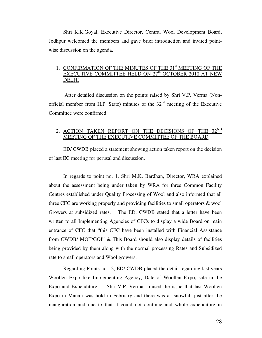Shri K.K.Goyal, Executive Director, Central Wool Development Board, Jodhpur welcomed the members and gave brief introduction and invited pointwise discussion on the agenda.

## 1. CONFIRMATION OF THE MINUTES OF THE 31<sup>st</sup> MEETING OF THE EXECUTIVE COMMITTEE HELD ON 27<sup>th</sup> OCTOBER 2010 AT NEW DELHI

 After detailed discussion on the points raised by Shri V.P. Verma (Nonofficial member from H.P. State) minutes of the  $32<sup>nd</sup>$  meeting of the Executive Committee were confirmed.

## 2. ACTION TAKEN REPORT ON THE DECISIONS OF THE 32<sup>ND</sup> MEETING OF THE EXECUTIVE COMMITTEE OF THE BOARD

 ED/ CWDB placed a statement showing action taken report on the decision of last EC meeting for perusal and discussion.

 In regards to point no. 1, Shri M.K. Bardhan, Director, WRA explained about the assessment being under taken by WRA for three Common Facility Centres established under Quality Processing of Wool and also informed that all three CFC are working properly and providing facilities to small operators & wool Growers at subsidized rates. The ED, CWDB stated that a letter have been written to all Implementing Agencies of CFCs to display a wide Board on main entrance of CFC that "this CFC have been installed with Financial Assistance from CWDB/ MOT/GOI" & This Board should also display details of facilities being provided by them along with the normal processing Rates and Subsidized rate to small operators and Wool growers.

 Regarding Points no. 2, ED/ CWDB placed the detail regarding last years Woollen Expo like Implementing Agency, Date of Woollen Expo, sale in the Expo and Expenditure. Shri V.P. Verma, raised the issue that last Woollen Expo in Manali was hold in February and there was a snowfall just after the inauguration and due to that it could not continue and whole expenditure in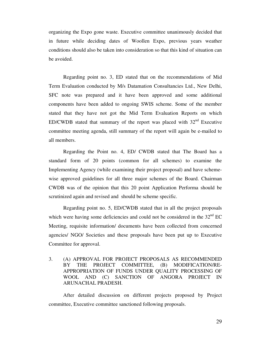organizing the Expo gone waste. Executive committee unanimously decided that in future while deciding dates of Woollen Expo, previous years weather conditions should also be taken into consideration so that this kind of situation can be avoided.

 Regarding point no. 3, ED stated that on the recommendations of Mid Term Evaluation conducted by M/s Datamation Consultancies Ltd., New Delhi, SFC note was prepared and it have been approved and some additional components have been added to ongoing SWIS scheme. Some of the member stated that they have not got the Mid Term Evaluation Reports on which ED/CWDB stated that summary of the report was placed with  $32<sup>nd</sup>$  Executive committee meeting agenda, still summary of the report will again be e-mailed to all members.

Regarding the Point no. 4, ED/ CWDB stated that The Board has a standard form of 20 points (common for all schemes) to examine the Implementing Agency (while examining their project proposal) and have schemewise approved guidelines for all three major schemes of the Board. Chairman CWDB was of the opinion that this 20 point Application Performa should be scrutinized again and revised and should be scheme specific.

 Regarding point no. 5, ED/CWDB stated that in all the project proposals which were having some deficiencies and could not be considered in the  $32<sup>nd</sup> EC$ Meeting, requisite information/ documents have been collected from concerned agencies/ NGO/ Societies and these proposals have been put up to Executive Committee for approval.

3. (A) APPROVAL FOR PROJECT PROPOSALS AS RECOMMENDED BY THE PROJECT COMMITTEE, (B) MODIFICATION/RE-APPROPRIATION OF FUNDS UNDER QUALITY PROCESSING OF WOOL AND (C) SANCTION OF ANGORA PROJECT IN ARUNACHAL PRADESH.

After detailed discussion on different projects proposed by Project committee, Executive committee sanctioned following proposals.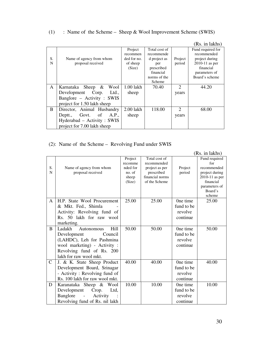## (1) : Name of the Scheme – Sheep & Wool Improvement Scheme (SWIS)

|              |                               |             |               |                             | (Rs. in lakhs)    |
|--------------|-------------------------------|-------------|---------------|-----------------------------|-------------------|
|              |                               | Project     | Total cost of |                             | Fund required for |
|              |                               | recommen    | recommende    |                             | recommended       |
| S.           | Name of agency from whom      | ded for no. | d project as  | Project                     | project during    |
| N            | proposal received             | of sheep    | per           | period                      | $2010-11$ as per  |
|              |                               | (Size)      | prescribed    |                             | financial         |
|              |                               |             | financial     |                             | parameters of     |
|              |                               |             | norms of the  |                             | Board's scheme    |
|              |                               |             | Scheme        |                             |                   |
| $\mathsf{A}$ | Karnataka Sheep &<br>Wool     | 1.00 lakh   | 70.40         | $\mathcal{D}_{\mathcal{L}}$ | 44.20             |
|              | Development<br>Ltd.,<br>Corp. | sheep       |               | years                       |                   |
|              | Banglore – Activity : SWIS    |             |               |                             |                   |
|              | project for 1.50 lakh sheep   |             |               |                             |                   |
| <sub>B</sub> | Director, Animal Husbandry    | 2.00 lakh   | 118.00        | 2                           | 68.00             |
|              | Govt. of<br>A.P.,<br>Deptt.,  | sheep       |               | years                       |                   |
|              | Hyderabad – Activity: SWIS    |             |               |                             |                   |
|              | project for 7.00 lakh sheep   |             |               |                             |                   |

## (2): Name of the Scheme – Revolving Fund under SWIS

|               |                                    |                 |                                  |            | (Rs. in lakhs)              |
|---------------|------------------------------------|-----------------|----------------------------------|------------|-----------------------------|
|               |                                    | Project         | Total cost of                    |            | Fund required               |
|               |                                    | recomme         | recommended                      |            | for                         |
| S.            | Name of agency from whom           | nded for        | project as per                   | Project    | recommended                 |
| N             | proposal received                  | no. of          | prescribed                       | period     | project during              |
|               |                                    | sheep<br>(Size) | financial norms<br>of the Scheme |            | 2010-11 as per<br>financial |
|               |                                    |                 |                                  |            | parameters of               |
|               |                                    |                 |                                  |            | Board's                     |
|               |                                    |                 |                                  |            | scheme                      |
| $\mathsf{A}$  | H.P. State Wool Procurement        | 25.00           | 25.00                            | One time   | 25.00                       |
|               | & Mkt. Fed., Shimla                |                 |                                  | fund to be |                             |
|               | Activity: Revolving fund of        |                 |                                  | revolve    |                             |
|               | Rs. 50 lakh for raw wool           |                 |                                  | continue   |                             |
|               | marketing.                         |                 |                                  |            |                             |
| B             | Hill<br>Ladakh<br>Autonomous       | 50.00           | 50.00                            | One time   | 50.00                       |
|               | Development<br>Council             |                 |                                  | fund to be |                             |
|               | (LAHDC), Leh for Pashmina          |                 |                                  | revolve    |                             |
|               | wool marketing) - Activity :       |                 |                                  | continue   |                             |
|               | Revolving fund of Rs. 200          |                 |                                  |            |                             |
|               | lakh for raw wool mkt.             |                 |                                  |            |                             |
| $\mathcal{C}$ | J. & K. State Sheep Product        | 40.00           | 40.00                            | One time   | 40.00                       |
|               | Development Board, Srinagar        |                 |                                  | fund to be |                             |
|               | - Activity: Revolving fund of      |                 |                                  | revolve    |                             |
|               | Rs. 100 lakh for raw wool mkt.     |                 |                                  | continue   |                             |
| D             | Karanataka Sheep & Wool            | 10.00           | 10.00                            | One time   | 10.00                       |
|               | Development<br>Crop.<br>Ltd,       |                 |                                  | fund to be |                             |
|               | Banglore<br>Activity<br>$\sim 100$ |                 |                                  | revolve    |                             |
|               | Revolving fund of Rs. nil lakh     |                 |                                  | continue   |                             |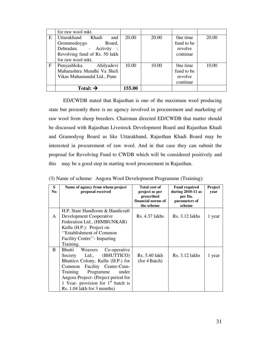|   | for raw wool mkt.                                    |        |       |                        |       |
|---|------------------------------------------------------|--------|-------|------------------------|-------|
| Ε | Uttarakhand<br>Khadi<br>and<br>Grommodoygo<br>Board, | 20.00  | 20.00 | One time<br>fund to be | 20.00 |
|   | Dehradun. - Activity                                 |        |       | revolve                |       |
|   | Revolving fund of Rs. 50 lakh                        |        |       | continue               |       |
|   | for raw wool mkt.                                    |        |       |                        |       |
| F | Punyashloka<br>Ahilyadevi                            | 10.00  | 10.00 | One time               | 10.00 |
|   | Maharashtra Mendhi Va Sheli                          |        |       | fund to be             |       |
|   | Vikas Mahamandal Ltd., Pune                          |        |       | revolve                |       |
|   |                                                      |        |       | continue               |       |
|   | Total: $\rightarrow$                                 | 155.00 |       |                        |       |

ED/CWDB stated that Rajasthan is one of the maximum wool producing state but presently there is no agency involved in procurement and marketing of raw wool from sheep breeders. Chairman directed ED/CWDB that matter should be discussed with Rajasthan Livestock Development Board and Rajasthan Khadi and Gramodyog Board as like Uttarakhand, Rajasthan Khadi Board may be interested in procurement of raw wool. And in that case they can submit the proposal for Revolving Fund to CWDB which will be considered positively and this may be a good step in starting wool procurement in Rajasthan.

|  |  | (3) Name of scheme: Angora Wool Development Programme (Training): |  |  |  |  |  |
|--|--|-------------------------------------------------------------------|--|--|--|--|--|
|--|--|-------------------------------------------------------------------|--|--|--|--|--|

| S<br>No. | Name of agency from whom project<br>proposal received                                                                                                                                                                                                                                      | <b>Total cost of</b><br>project as per<br>prescribed<br>financial norms of<br>the scheme | <b>Fund required</b><br>during 2010-11 as<br>per fin.<br>parameters of<br>scheme | Project<br>year |
|----------|--------------------------------------------------------------------------------------------------------------------------------------------------------------------------------------------------------------------------------------------------------------------------------------------|------------------------------------------------------------------------------------------|----------------------------------------------------------------------------------|-----------------|
| A        | H.P. State Handloom & Handicraft<br>Development Cooperative<br>Federation Ltd., (HIMBUNKAR)<br>Kullu (H.P.): Project on                                                                                                                                                                    | Rs. 4.37 lakhs                                                                           | $Rs. 3.12$ lakhs                                                                 | 1 year          |
|          | "Establishment of Common"<br>Facility Centre''- Imparting<br>Training.                                                                                                                                                                                                                     |                                                                                          |                                                                                  |                 |
| B        | Bhutti<br>Weavers<br>Co-operative<br>(BHUTTICO)<br>Ltd.,<br>Society<br>Bhuttico Colony, Kullu (H.P.) for<br>Facility Centre-Cum-<br>Common<br>Programme<br>under<br>Training<br>Angora Project- (Project period for<br>1 Year- provision for $1st$ batch is<br>Rs. 1.04 lakh for 3 months) | Rs. 5.40 lakh<br>(for 4 Batch)                                                           | Rs. 3.12 lakhs                                                                   | 1 year          |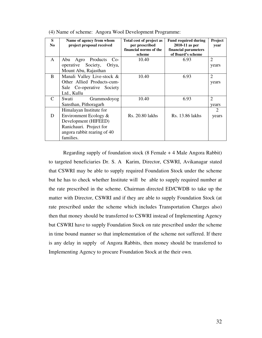| S<br>N <sub>0</sub> | Name of agency from whom<br>project proposal received | Total cost of project as<br>per prescribed | <b>Fund required during</b><br>2010-11 as per | <b>Project</b><br>year |
|---------------------|-------------------------------------------------------|--------------------------------------------|-----------------------------------------------|------------------------|
|                     |                                                       | financial norms of the<br>scheme           | financial parameters<br>of Board's scheme     |                        |
| $\mathsf{A}$        | Products<br>Abu<br>Agro<br>$Co-$                      | 10.40                                      | 6.93                                          | $\overline{2}$         |
|                     | Society, Oriya,<br>operative                          |                                            |                                               | years                  |
|                     | Mount Abu, Rajasthan                                  |                                            |                                               |                        |
| B                   | Manali Valley Live-stock &                            | 10.40                                      | 6.93                                          | $\overline{2}$         |
|                     | Other Allied Products-cum-                            |                                            |                                               | years                  |
|                     | Sale Co-operative Society                             |                                            |                                               |                        |
|                     | Ltd., Kullu                                           |                                            |                                               |                        |
| $\mathcal{C}$       | Swati<br>Grammodoyog                                  | 10.40                                      | 6.93                                          | $\overline{2}$         |
|                     | Sansthan, Pithoragarh                                 |                                            |                                               | years                  |
|                     | Himalayan Institute for                               |                                            |                                               | 2                      |
| D                   | Environment Ecology $\&$                              | Rs. 20.80 lakhs                            | Rs. 13.86 lakhs                               | years                  |
|                     | Development (HIFEED)                                  |                                            |                                               |                        |
|                     | Ranichauri. Project for                               |                                            |                                               |                        |
|                     | angora rabbit rearing of 40                           |                                            |                                               |                        |
|                     | families.                                             |                                            |                                               |                        |

(4) Name of scheme: Angora Wool Development Programme:

Regarding supply of foundation stock (8 Female + 4 Male Angora Rabbit) to targeted beneficiaries Dr. S. A Karim, Director, CSWRI, Avikanagar stated that CSWRI may be able to supply required Foundation Stock under the scheme but he has to check whether Institute will be able to supply required number at the rate prescribed in the scheme. Chairman directed ED/CWDB to take up the matter with Director, CSWRI and if they are able to supply Foundation Stock (at rate prescribed under the scheme which includes Transportation Charges also) then that money should be transferred to CSWRI instead of Implementing Agency but CSWRI have to supply Foundation Stock on rate prescribed under the scheme in time bound manner so that implementation of the scheme not suffered. If there is any delay in supply of Angora Rabbits, then money should be transferred to Implementing Agency to procure Foundation Stock at the their own.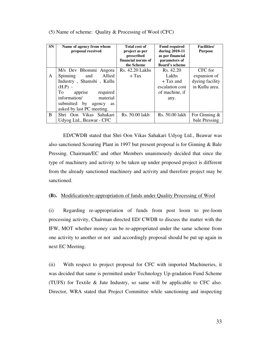| <b>SN</b> | Name of agency from whom<br>proposal received | <b>Total cost of</b><br>project as per         | <b>Fund required</b><br>during 2010-11                     | <b>Facilities</b> /<br><b>Purpose</b> |
|-----------|-----------------------------------------------|------------------------------------------------|------------------------------------------------------------|---------------------------------------|
|           |                                               | prescribed<br>financial norms of<br>the Scheme | as per financial<br>parameters of<br><b>Board's scheme</b> |                                       |
|           | M/s Dev Bhommi Angora                         | Rs. 42.20 Lakhs                                | Rs. 42.20                                                  | CFC for                               |
| A         | Allied<br><b>Spinning</b><br>and              | $+$ Tax                                        | Lakhs                                                      | expansion of                          |
|           | Industry, Shamshi, Kullu                      |                                                | $+$ Tax and                                                | dyeing facility                       |
|           | $(H.P)$ -                                     |                                                | escalation cost                                            | in Kullu area.                        |
|           | To<br>required<br>apprise                     |                                                | of machine, if                                             |                                       |
|           | information/<br>material                      |                                                | any.                                                       |                                       |
|           | submitted by<br>agency<br><b>as</b>           |                                                |                                                            |                                       |
|           | asked by last PC meeting.                     |                                                |                                                            |                                       |
| B         | Shri Oon Vikas Sahakari                       | Rs. 50.00 lakh                                 | Rs. 50.00 lakh                                             | For Ginning $\&$                      |
|           | Udyog Ltd., Beawar - CFC                      |                                                |                                                            | bale Pressing                         |

(5) Name of scheme: Quality & Processing of Wool (CFC)

ED/CWDB stated that Shri Oon Vikas Sahakari Udyog Ltd., Beawar was also sanctioned Scouring Plant in 1997 but present proposal is for Ginning & Bale Pressing. Chairman/EC and other Members unanimously decided that since the type of machinery and activity to be taken up under proposed project is different from the already sanctioned machinery and activity and therefore project may be sanctioned.

#### **(B).** Modification/re-appropriation of funds under Quality Processing of Wool

(i) Regarding re-appropriation of funds from post loom to pre-loom processing activity, Chairman directed ED/ CWDB to discuss the matter with the IFW, MOT whether money can be re-appropriated under the same scheme from one activity to another or not and accordingly proposal should be put up again in next EC Meeting.

(ii) With respect to project proposal for CFC with imported Machineries, it was decided that same is permitted under Technology Up-gradation Fund Scheme (TUFS) for Textile & Jute Industry, so same will be applicable to CFC also. Director, WRA stated that Project Committee while sanctioning and inspecting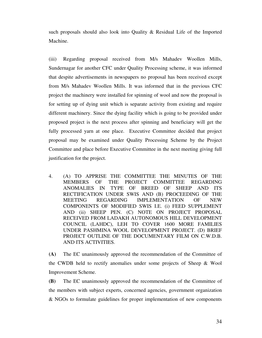such proposals should also look into Quality & Residual Life of the Imported Machine.

(iii) Regarding proposal received from M/s Mahadev Woollen Mills, Sundernagar for another CFC under Quality Processing scheme, it was informed that despite advertisements in newspapers no proposal has been received except from M/s Mahadev Woollen Mills. It was informed that in the previous CFC project the machinery were installed for spinning of wool and now the proposal is for setting up of dying unit which is separate activity from existing and require different machinery. Since the dying facility which is going to be provided under proposed project is the next process after spinning and beneficiary will get the fully processed yarn at one place. Executive Committee decided that project proposal may be examined under Quality Processing Scheme by the Project Committee and place before Executive Committee in the next meeting giving full justification for the project.

4. (A) TO APPRISE THE COMMITTEE THE MINUTES OF THE MEMBERS OF THE PROJECT COMMITTEE REGARDING ANOMALIES IN TYPE OF BREED OF SHEEP AND ITS RECTIFICATION UNDER SWIS AND (B) PROCEEDING OF THE MEETING REGARDING IMPLEMENTATION OF NEW COMPONENTS OF MODIFIED SWIS I.E. (i) FEED SUPPLEMENT AND (ii) SHEEP PEN. (C) NOTE ON PROJECT PROPOSAL RECEIVED FROM LADAKH AUTONOMOUS HILL DEVELOPMENT COUNCIL (LAHDC), LEH TO COVER 1600 MORE FAMILIES UNDER PASHMINA WOOL DEVELOPMENT PROJECT. (D) BRIEF PROJECT OUTLINE OF THE DOCUMENTARY FILM ON C.W.D.B. AND ITS ACTIVITIES.

**(A)** The EC unanimously approved the recommendation of the Committee of the CWDB held to rectify anomalies under some projects of Sheep & Wool Improvement Scheme.

**(B)** The EC unanimously approved the recommendation of the Committee of the members with subject experts, concerned agencies, government organization & NGOs to formulate guidelines for proper implementation of new components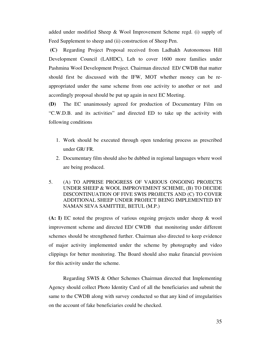added under modified Sheep & Wool Improvement Scheme regd. (i) supply of Feed Supplement to sheep and (ii) construction of Sheep Pen.

 **(C)** Regarding Project Proposal received from Ladhakh Autonomous Hill Development Council (LAHDC), Leh to cover 1600 more families under Pashmina Wool Development Project. Chairman directed ED/ CWDB that matter should first be discussed with the IFW, MOT whether money can be reappropriated under the same scheme from one activity to another or not and accordingly proposal should be put up again in next EC Meeting.

**(D)** The EC unanimously agreed for production of Documentary Film on "C.W.D.B. and its activities" and directed ED to take up the activity with following conditions

- 1. Work should be executed through open tendering process as prescribed under GR/ FR.
- 2. Documentary film should also be dubbed in regional languages where wool are being produced.
- 5. (A) TO APPRISE PROGRESS OF VARIOUS ONGOING PROJECTS UNDER SHEEP & WOOL IMPROVEMENT SCHEME, (B) TO DECIDE DISCONTINUATION OF FIVE SWIS PROJECTS AND (C) TO COVER ADDITIONAL SHEEP UNDER PROJECT BEING IMPLEMENTED BY NAMAN SEVA SAMITTEE, BETUL (M.P.)

**(A: I)** EC noted the progress of various ongoing projects under sheep & wool improvement scheme and directed ED/ CWDB that monitoring under different schemes should be strengthened further. Chairman also directed to keep evidence of major activity implemented under the scheme by photography and video clippings for better monitoring. The Board should also make financial provision for this activity under the scheme.

Regarding SWIS & Other Schemes Chairman directed that Implementing Agency should collect Photo Identity Card of all the beneficiaries and submit the same to the CWDB along with survey conducted so that any kind of irregularities on the account of fake beneficiaries could be checked.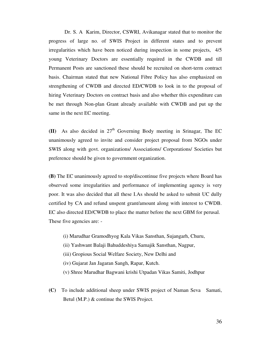Dr. S. A Karim, Director, CSWRI, Avikanagar stated that to monitor the progress of large no. of SWIS Project in different states and to prevent irregularities which have been noticed during inspection in some projects, 4/5 young Veterinary Doctors are essentially required in the CWDB and till Permanent Posts are sanctioned these should be recruited on short-term contract basis. Chairman stated that new National Fibre Policy has also emphasized on strengthening of CWDB and directed ED/CWDB to look in to the proposal of hiring Veterinary Doctors on contract basis and also whether this expenditure can be met through Non-plan Grant already available with CWDB and put up the same in the next EC meeting.

**(II)** As also decided in  $27<sup>th</sup>$  Governing Body meeting in Srinagar, The EC unanimously agreed to invite and consider project proposal from NGOs under SWIS along with govt. organizations/ Associations/ Corporations/ Societies but preference should be given to government organization.

**(B)** The EC unanimously agreed to stop/discontinue five projects where Board has observed some irregularities and performance of implementing agency is very poor. It was also decided that all these I.As should be asked to submit UC dully certified by CA and refund unspent grant/amount along with interest to CWDB. EC also directed ED/CWDB to place the matter before the next GBM for perusal. These five agencies are: -

- (i) Marudhar Gramodhyog Kala Vikas Sansthan, Sujangarh, Churu,
- (ii) Yashwant Balaji Bahuddeshiya Samajik Sansthan, Nagpur,
- (iii) Gropious Social Welfare Society, New Delhi and
- (iv) Gujarat Jan Jagaran Sangh, Rapar, Kutch.
- (v) Shree Marudhar Bagwani krishi Utpadan Vikas Samiti, Jodhpur
- **(C)** To include additional sheep under SWIS project of Naman Seva Samati, Betul (M.P.) & continue the SWIS Project.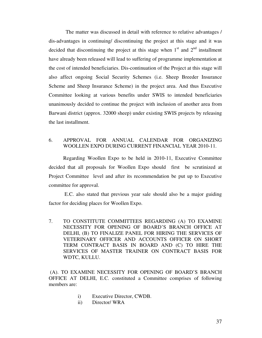The matter was discussed in detail with reference to relative advantages / dis-advantages in continuing/ discontinuing the project at this stage and it was decided that discontinuing the project at this stage when  $1<sup>st</sup>$  and  $2<sup>nd</sup>$  installment have already been released will lead to suffering of programme implementation at the cost of intended beneficiaries. Dis-continuation of the Project at this stage will also affect ongoing Social Security Schemes (i.e. Sheep Breeder Insurance Scheme and Sheep Insurance Scheme) in the project area. And thus Executive Committee looking at various benefits under SWIS to intended beneficiaries unanimously decided to continue the project with inclusion of another area from Barwani district (approx. 32000 sheep) under existing SWIS projects by releasing the last installment.

#### 6. APPROVAL FOR ANNUAL CALENDAR FOR ORGANIZING WOOLLEN EXPO DURING CURRENT FINANCIAL YEAR 2010-11.

Regarding Woollen Expo to be held in 2010-11, Executive Committee decided that all proposals for Woollen Expo should first be scrutinized at Project Committee level and after its recommendation be put up to Executive committee for approval.

 E.C. also stated that previous year sale should also be a major guiding factor for deciding places for Woollen Expo.

7. TO CONSTITUTE COMMITTEES REGARDING (A) TO EXAMINE NECESSITY FOR OPENING OF BOARD'S BRANCH OFFICE AT DELHI, (B) TO FINALIZE PANEL FOR HIRING THE SERVICES OF VETERINARY OFFICER AND ACCOUNTS OFFICER ON SHORT TERM CONTRACT BASIS IN BOARD AND (C) TO HIRE THE SERVICES OF MASTER TRAINER ON CONTRACT BASIS FOR WDTC, KULLU.

 (A). TO EXAMINE NECESSITY FOR OPENING OF BOARD'S BRANCH OFFICE AT DELHI, E.C. constituted a Committee comprises of following members are:

- i) Executive Director, CWDB.
- ii) Director/ WRA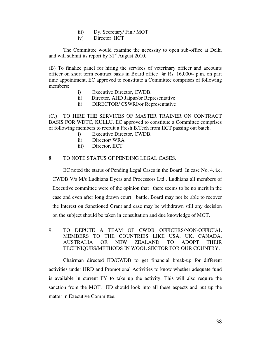- iii) Dy. Secretary/ Fin./ MOT
- iv) Director IICT

 The Committee would examine the necessity to open sub-office at Delhi and will submit its report by  $31<sup>st</sup>$  August 2010.

(B) To finalize panel for hiring the services of veterinary officer and accounts officer on short term contract basis in Board office @ Rs. 16,000/- p.m. on part time appointment, EC approved to constitute a Committee comprises of following members:

- i) Executive Director, CWDB.
- ii) Director, AHD Jaipur/or Representative
- ii) DIRECTOR/ CSWRI/or Representative

(C.) TO HIRE THE SERVICES OF MASTER TRAINER ON CONTRACT BASIS FOR WDTC, KULLU. EC approved to constitute a Committee comprises of following members to recruit a Fresh B.Tech from IICT passing out batch.

- i) Executive Director, CWDB.
- ii) Director/ WRA
- iii) Director, IICT

#### 8. TO NOTE STATUS OF PENDING LEGAL CASES.

 EC noted the status of Pending Legal Cases in the Board. In case No. 4, i.e. CWDB V/s M/s Ludhiana Dyers and Processors Ltd., Ludhiana all members of Executive committee were of the opinion that there seems to be no merit in the case and even after long drawn court battle, Board may not be able to recover the Interest on Sanctioned Grant and case may be withdrawn still any decision on the subject should be taken in consultation and due knowledge of MOT.

9. TO DEPUTE A TEAM OF CWDB OFFICERS/NON-OFFICIAL MEMBERS TO THE COUNTRIES LIKE USA, UK, CANADA, AUSTRALIA OR NEW ZEALAND TO ADOPT THEIR TECHNIQUES/METHODS IN WOOL SECTOR FOR OUR COUNTRY.

Chairman directed ED/CWDB to get financial break-up for different activities under HRD and Promotional Activities to know whether adequate fund is available in current FY to take up the activity. This will also require the sanction from the MOT. ED should look into all these aspects and put up the matter in Executive Committee.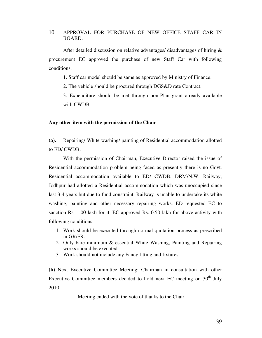#### 10. APPROVAL FOR PURCHASE OF NEW OFFICE STAFF CAR IN BOARD.

After detailed discussion on relative advantages/ disadvantages of hiring & procurement EC approved the purchase of new Staff Car with following conditions.

1. Staff car model should be same as approved by Ministry of Finance.

2. The vehicle should be procured through DGS&D rate Contract.

3. Expenditure should be met through non-Plan grant already available with CWDB.

#### **Any other item with the permission of the Chair**

**(a).** Repairing/ White washing/ painting of Residential accommodation allotted to ED/ CWDB.

With the permission of Chairman, Executive Director raised the issue of Residential accommodation problem being faced as presently there is no Govt. Residential accommodation available to ED/ CWDB. DRM/N.W. Railway, Jodhpur had allotted a Residential accommodation which was unoccupied since last 3-4 years but due to fund constraint, Railway is unable to undertake its white washing, painting and other necessary repairing works. ED requested EC to sanction Rs. 1.00 lakh for it. EC approved Rs. 0.50 lakh for above activity with following conditions:

- 1. Work should be executed through normal quotation process as prescribed in GR/FR.
- 2. Only bare minimum & essential White Washing, Painting and Repairing works should be executed.
- 3. Work should not include any Fancy fitting and fixtures.

**(b)** Next Executive Committee Meeting: Chairman in consultation with other Executive Committee members decided to hold next EC meeting on  $30<sup>th</sup>$  July 2010.

Meeting ended with the vote of thanks to the Chair.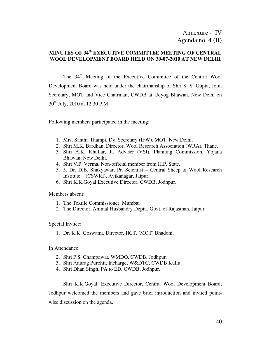## **MINUTES OF 34th EXECUTIVE COMMITTEE MEETING OF CENTRAL WOOL DEVELOPMENT BOARD HELD ON 30-07-2010 AT NEW DELHI**

The 34<sup>th</sup> Meeting of the Executive Committee of the Central Wool Development Board was held under the chairmanship of Shri S. S. Gupta, Joint Secretary, MOT and Vice Chairman, CWDB at Udyog Bhawan, New Delhi on 30<sup>th</sup> July, 2010 at 12.30 P.M.

Following members participated in the meeting:

- 1. Mrs. Santha Thampi, Dy. Secretary (IFW), MOT, New Delhi.
- 2. Shri M.K. Bardhan, Director, Wool Research Association (WRA), Thane.
- 3. Shri A.K. Khullar, Jt. Adviser (VSI), Planning Commission, Yojana Bhawan, New Delhi.
- 4. Shri V.P. Verma, Non-official member from H.P. State.
- 5. 5. Dr. D.B. Shakyawar, Pr. Scientist Central Sheep & Wool Research Institute (CSWRI), Avikanagar, Jaipur.
- 6. Shri K.K.Goyal Executive Director, CWDB, Jodhpur.

Members absent:

- 1. The Textile Commissioner, Mumbai
- 2. The Director, Animal Husbandry Deptt., Govt. of Rajasthan, Jaipur.

Special Invitee:

1. Dr. K.K. Goswami, Director, IICT, (MOT) Bhadohi.

In Attendance:

- 2. Shri P.S. Champawat, WMDO, CWDB, Jodhpur.
- 3. Shri Anurag Purohit, Incharge, W&DTC, CWDB Kullu.
- 4. Shri Dhan Singh, PA to ED, CWDB, Jodhpur.

Shri K.K.Goyal, Executive Director, Central Wool Development Board, Jodhpur welcomed the members and gave brief introduction and invited pointwise discussion on the agenda.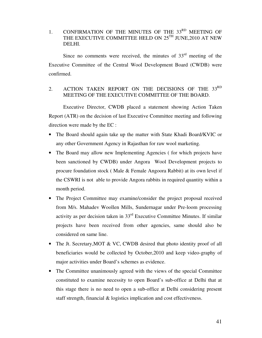1. CONFIRMATION OF THE MINUTES OF THE  $33<sup>RD</sup>$  MEETING OF THE EXECUTIVE COMMITTEE HELD ON  $25^{\text{TH}}$  JUNE,2010 AT NEW DELHI.

Since no comments were received, the minutes of  $33<sup>rd</sup>$  meeting of the Executive Committee of the Central Wool Development Board (CWDB) were confirmed.

## 2. ACTION TAKEN REPORT ON THE DECISIONS OF THE 33RD MEETING OF THE EXECUTIVE COMMITTEE OF THE BOARD.

 Executive Director, CWDB placed a statement showing Action Taken Report (ATR) on the decision of last Executive Committee meeting and following direction were made by the EC :

- The Board should again take up the matter with State Khadi Board/KVIC or any other Government Agency in Rajasthan for raw wool marketing.
- The Board may allow new Implementing Agencies (for which projects have been sanctioned by CWDB) under Angora Wool Development projects to procure foundation stock ( Male & Female Angoora Rabbit) at its own level if the CSWRI is not able to provide Angora rabbits in required quantity within a month period.
- The Project Committee may examine/consider the project proposal received from M/s. Mahadev Woollen Mills, Sundernagar under Pre-loom processing activity as per decision taken in 33rd Executive Committee Minutes. If similar projects have been received from other agencies, same should also be considered on same line.
- The Jt. Secretary, MOT & VC, CWDB desired that photo identity proof of all beneficiaries would be collected by October,2010 and keep video-graphy of major activities under Board's schemes as evidence.
- The Committee unanimously agreed with the views of the special Committee constituted to examine necessity to open Board's sub-office at Delhi that at this stage there is no need to open a sub-office at Delhi considering present staff strength, financial & logistics implication and cost effectiveness.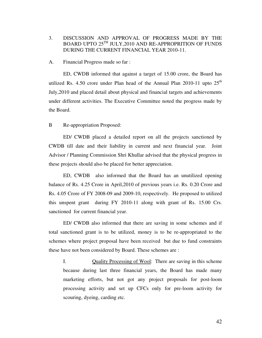## 3. DISCUSSION AND APPROVAL OF PROGRESS MADE BY THE BOARD UPTO 25TH JULY,2010 AND RE-APPROPRITION OF FUNDS DURING THE CURRENT FINANCIAL YEAR 2010-11.

#### A. Financial Progress made so far :

 ED, CWDB informed that against a target of 15.00 crore, the Board has utilized Rs. 4.50 crore under Plan head of the Annual Plan 2010-11 upto  $25<sup>th</sup>$ July,2010 and placed detail about physical and financial targets and achievements under different activities. The Executive Committee noted the progress made by the Board.

#### B Re-appropriation Proposed:

ED/ CWDB placed a detailed report on all the projects sanctioned by CWDB till date and their liability in current and next financial year. Joint Advisor / Planning Commission Shri Khullar advised that the physical progress in these projects should also be placed for better appreciation.

ED, CWDB also informed that the Board has an unutilized opening balance of Rs. 4.25 Crore in April,2010 of previous years i.e. Rs. 0.20 Crore and Rs. 4.05 Crore of FY 2008-09 and 2009-10, respectively. He proposed to utilized this unspent grant during FY 2010-11 along with grant of Rs. 15.00 Crs. sanctioned for current financial year.

ED/ CWDB also informed that there are saving in some schemes and if total sanctioned grant is to be utilized, money is to be re-appropriated to the schemes where project proposal have been received but due to fund constraints these have not been considered by Board. These schemes are :

I. Quality Processing of Wool: There are saving in this scheme because during last three financial years, the Board has made many marketing efforts, but not got any project proposals for post-loom processing activity and set up CFCs only for pre-loom activity for scouring, dyeing, carding etc.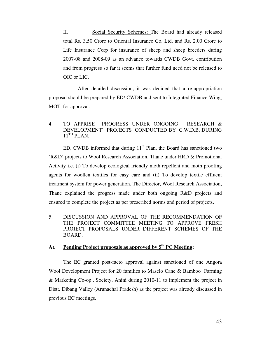II. Social Security Schemes: The Board had already released total Rs. 3.50 Crore to Oriental Insurance Co. Ltd. and Rs. 2.00 Crore to Life Insurance Corp for insurance of sheep and sheep breeders during 2007-08 and 2008-09 as an advance towards CWDB Govt. contribution and from progress so far it seems that further fund need not be released to OIC or LIC.

 After detailed discussion, it was decided that a re-appropriation proposal should be prepared by ED/ CWDB and sent to Integrated Finance Wing, MOT for approval.

## 4. TO APPRISE PROGRESS UNDER ONGOING 'RESEARCH & DEVELOPMENT' PROJECTS CONDUCTED BY C.W.D.B. DURING  $11<sup>TH</sup>$  PLAN.

ED, CWDB informed that during  $11<sup>th</sup>$  Plan, the Board has sanctioned two 'R&D' projects to Wool Research Association, Thane under HRD & Promotional Activity i.e. (i) To develop ecological friendly moth repellent and moth proofing agents for woollen textiles for easy care and (ii) To develop textile effluent treatment system for power generation. The Director, Wool Research Association, Thane explained the progress made under both ongoing R&D projects and ensured to complete the project as per prescribed norms and period of projects.

5. DISCUSSION AND APPROVAL OF THE RECOMMENDATION OF THE PROJECT COMMITTEE MEETING TO APPROVE FRESH PROJECT PROPOSALS UNDER DIFFERENT SCHEMES OF THE BOARD.

## **A). Pending Project proposals as approved by 5th PC Meeting:**

 The EC granted post-facto approval against sanctioned of one Angora Wool Development Project for 20 families to Maselo Cane & Bamboo Farming & Marketing Co-op., Society, Anini during 2010-11 to implement the project in Distt. Dibang Valley (Arunachal Pradesh) as the project was already discussed in previous EC meetings.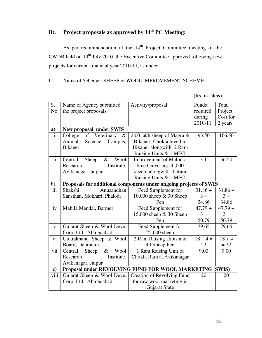## **B). Project proposals as approved by 14th PC Meeting:**

As per recommendation of the  $14<sup>th</sup>$  Project Committee meeting of the CWDB held on  $19<sup>th</sup>$  July, 2010, the Executive Committee approved following new projects for current financial year 2010-11, as under :

## I. Name of Scheme : SHEEP & WOOL IMPROVEMENT SCHEME

| S.                      | Name of Agency submitted                                           | Activity/proposal                 | Funds      | Total     |
|-------------------------|--------------------------------------------------------------------|-----------------------------------|------------|-----------|
| N <sub>o</sub>          | the project proposals                                              |                                   | required   | Project   |
|                         |                                                                    |                                   | during     | Cost for  |
|                         |                                                                    |                                   | 2010-11    | 2 years   |
| a)                      | <b>New proposal under SWIS</b>                                     |                                   |            |           |
| $\overline{\mathbf{i}}$ | of<br>Veterinary<br>College<br>&                                   | 2.00 lakh sheep of Magra $\&$     | 93.50      | 166.50    |
|                         | Animal<br>Science<br>Campus,                                       | Bikaneri Chokla breed in          |            |           |
|                         | Bikaner.                                                           | Bikaner alongwith 2 Ram           |            |           |
|                         |                                                                    | Raising Units & 1 MFC.            |            |           |
| $\mathbf{ii}$           | Wool<br>Central<br>$\&$<br>Sheep                                   | <b>Improvement of Malpura</b>     | 44         | 56.50     |
|                         | Institute,<br>Research                                             | breed covering 50,000             |            |           |
|                         | Avikanagar, Jaipur                                                 | sheep alongwith 1 Ram             |            |           |
|                         |                                                                    | Raising Units & 1 MFC.            |            |           |
| $b)$ .                  | Proposals for additional components under ongoing projects of SWIS |                                   |            |           |
| iii                     | Anusandhan<br>Shakshi                                              | Feed Supplement for               | $31.86 +$  | $31.86 +$ |
|                         | Sansthan, Mokhari, Phalodi                                         | 10,000 sheep & 30 Sheep           | $3 =$      | $3 =$     |
|                         |                                                                    | Pen                               | 34.86      | 34.86     |
| iv                      | Mahila Mandal, Barmer                                              | Feed Supplement for               | $47.79 +$  | $47.79 +$ |
|                         |                                                                    | 15,000 sheep & 30 Sheep           | $3 =$      | $3 =$     |
|                         |                                                                    | Pen                               | 50.79      | 50.79     |
| $\mathbf{V}$            | Gujarat Sheep & Wool Deve.                                         | Feed Supplement for               | 79.65      | 79.65     |
|                         | Corp. Ltd., Ahmedabad.                                             | 25,000 sheep                      |            |           |
| vi                      | Uttarakhand Sheep & Wool                                           | 2 Ram Raising Units and           | $18 + 4 =$ | $18 + 4$  |
|                         | Board, Dehradun.                                                   | 40 Sheep Pen                      | 22         | $= 22$    |
| vii                     | $\&$<br>Wool<br>Central<br>Sheep                                   | 1 Ram Raising Unit of             | 9.00       | 9.00      |
|                         | Research<br>Institute,                                             | Chokla Ram at Avikanagar          |            |           |
|                         | Avikanagar, Jaipur                                                 |                                   |            |           |
| $\mathbf{c})$           | Proposal under REVOLVING FUND FOR WOOL MARKETING (SWIS)            |                                   |            |           |
| viii                    | Gujarat Sheep & Wool Deve.                                         | <b>Creation of Revolving Fund</b> | 20         | 20        |
|                         | Corp. Ltd., Ahmedabad.                                             | for raw wool marketing in         |            |           |
|                         |                                                                    | Gujarat State                     |            |           |

(Rs. in lakhs)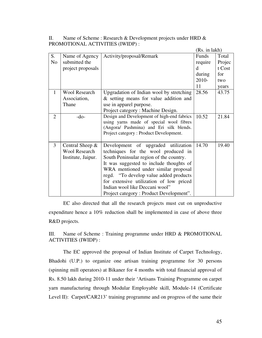II. Name of Scheme : Research & Development projects under HRD & PROMOTIONAL ACTIVITIES (IWIDP) :

|                         |                      |                                            | (Rs. in lakh) |        |  |
|-------------------------|----------------------|--------------------------------------------|---------------|--------|--|
| S.                      | Name of Agency       | Activity/proposal/Remark                   | Funds         | Total  |  |
| N <sub>o</sub>          | submitted the        |                                            | require       | Projec |  |
|                         | project proposals    |                                            | <sub>d</sub>  | t Cost |  |
|                         |                      |                                            | during        | for    |  |
|                         |                      |                                            | $2010-$       | two    |  |
|                         |                      |                                            | 11            | years  |  |
| $\mathbf{1}$            | <b>Wool Research</b> | Upgradation of Indian wool by stretching   |               | 43.75  |  |
|                         | Association,         | & setting means for value addition and     |               |        |  |
|                         | Thane                | use in apparel purpose.                    |               |        |  |
|                         |                      | Project category: Machine Design.          |               |        |  |
| 2                       | $-do-$               | Design and Development of high-end fabrics | 10.52         | 21.84  |  |
|                         |                      | using yarns made of special wool fibres    |               |        |  |
|                         |                      | (Angora/ Pashmina) and Eri silk blends.    |               |        |  |
|                         |                      | Project category: Product Development.     |               |        |  |
| 3<br>Central Sheep $\&$ |                      | Development of upgraded utilization        | 14.70         | 19.40  |  |
|                         | <b>Wool Research</b> | techniques for the wool produced in        |               |        |  |
|                         | Institute, Jaipur.   | South Peninsular region of the country.    |               |        |  |
|                         |                      | It was suggested to include thoughts of    |               |        |  |
|                         |                      | WRA mentioned under similar proposal       |               |        |  |
|                         |                      | regd. "To develop value added products"    |               |        |  |
|                         |                      | for extensive utilization of low priced    |               |        |  |
|                         |                      | Indian wool like Deccani wool"             |               |        |  |
|                         |                      | Project category: Product Development".    |               |        |  |

 EC also directed that all the research projects must cut on unproductive expenditure hence a 10% reduction shall be implemented in case of above three R&D projects.

III. Name of Scheme : Training programme under HRD & PROMOTIONAL ACTIVITIES (IWIDP) :

 The EC approved the proposal of Indian Institute of Carpet Technology, Bhadohi (U.P.) to organize one artisan training programme for 30 persons (spinning mill operators) at Bikaner for 4 months with total financial approval of Rs. 8.50 lakh during 2010-11 under their 'Artisans Training Programme on carpet yarn manufacturing through Modular Employable skill, Module-14 (Certificate Level II): Carpet/CAR213' training programme and on progress of the same their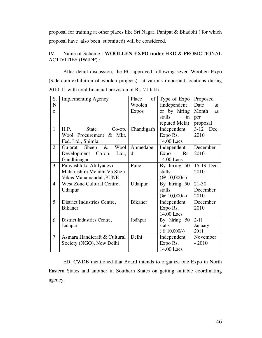proposal for training at other places like Sri Nagar, Panipat & Bhadohi ( for which proposal have also been submitted) will be considered.

## IV. Name of Scheme : **WOOLLEN EXPO under** HRD & PROMOTIONAL ACTIVITIES (IWIDP) :

 After detail discussion, the EC approved following seven Woollen Expo (Sale-cum-exhibition of woolen projects) at various important locations during 2010-11 with total financial provision of Rs. 71 lakh.

| S.             | <b>Implementing Agency</b>        | Place<br>of    | Type of Expo                        | Proposed           |  |
|----------------|-----------------------------------|----------------|-------------------------------------|--------------------|--|
| N              |                                   | Woolen         | <i>(independent</i>                 | Date<br>$\&$       |  |
| $\Omega$ .     |                                   | <b>Expos</b>   | or by hiring                        | Month<br><b>as</b> |  |
|                |                                   |                | stalls<br>in                        | per                |  |
|                |                                   |                | reputed Mela)                       | proposal           |  |
| $\mathbf{1}$   | H.P.<br><b>State</b><br>$Co$ -op. | Chandigarh     | Independent                         | $3 - 12$<br>Dec.   |  |
|                | Wool Procurement & Mkt.           |                | Expo Rs.                            | 2010               |  |
|                | Fed. Ltd., Shimla                 |                | 14.00 Lacs                          |                    |  |
| $\overline{2}$ | $\&$<br>Sheep<br>Wool<br>Gujarat  | Ahmedabe       | Independent                         | December           |  |
|                | Development Co-op.<br>Ltd.,       | d              | Expo<br>Rs.                         | 2010               |  |
|                | Gandhinagar                       |                | 14.00 Lacs                          |                    |  |
| $\overline{3}$ | Punyashloka Ahilyadevi            | Pune           | By hiring 50                        | 15-19 Dec.         |  |
|                | Maharashtra Mendhi Va Sheli       |                | stalls                              | 2010               |  |
|                | Vikas Mahamandal , PUNE           |                | $(\text{\textcircled{a}} 10,000/-)$ |                    |  |
| $\overline{4}$ | West Zone Cultural Centre,        | Udaipur        | By hiring 50                        | $21 - 30$          |  |
|                | Udaipur                           |                | stalls                              | December           |  |
|                |                                   |                | $(\text{\& }10,000/-)$              | 2010               |  |
| 5              | District Industries Centre,       | <b>Bikaner</b> | Independent                         | December           |  |
|                | <b>Bikaner</b>                    |                | Expo Rs.                            | 2010               |  |
|                |                                   |                | 14.00 Lacs                          |                    |  |
| 6              | District Industries Centre,       | Jodhpur        | By hiring 50                        | $2 - 11$           |  |
|                | Jodhpur                           |                | stalls                              | January            |  |
|                |                                   |                | $(\text{\textcircled{a}} 10,000/-)$ | 2011               |  |
| $\overline{7}$ | Asmara Handicraft & Cultural      | Delhi          | Independent                         | November           |  |
|                | Society (NGO), New Delhi          |                | Expo Rs.                            | $-2010$            |  |
|                |                                   |                | 14.00 Lacs                          |                    |  |

 ED, CWDB mentioned that Board intends to organize one Expo in North Eastern States and another in Southern States on getting suitable coordinating agency.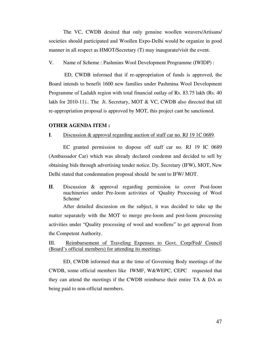The VC, CWDB desired that only genuine woollen weavers/Artisans/ societies should participated and Woollen Expo-Delhi would be organize in good manner in all respect as HMOT/Secretary (T) may inaugurate/visit the event.

V. Name of Scheme : Pashmins Wool Development Programme (IWIDP) :

 ED, CWDB informed that if re-appropriation of funds is approved, the Board intends to benefit 1600 new families under Pashmina Wool Development Programme of Ladakh region with total financial outlay of Rs. 83.75 lakh (Rs. 40 lakh for 2010-11).. The Jt. Secretary, MOT & VC, CWDB also directed that till re-appropriation proposal is approved by MOT, this project cant be sanctioned.

#### **OTHER AGENDA ITEM :**

#### **I**. Discussion & approval regarding auction of staff car no. RJ 19 1C 0689.

EC granted permission to dispose off staff car no. RJ 19 IC 0689 (Ambassador Car) which was already declared condemn and decided to sell by obtaining bids through advertising tender notice. Dy. Secretary (IFW), MOT, New Delhi stated that condemnation proposal should be sent to IFW/ MOT.

**II**. Discussion & approval regarding permission to cover Post-loom machineries under Pre-loom activities of 'Quality Processing of Wool Scheme' 

After detailed discussion on the subject, it was decided to take up the matter separately with the MOT to merge pre-loom and post-loom processing activities under "Quality processing of wool and woollens" to get approval from the Competent Authority.

III. Reimbursement of Traveling Expenses to Govt. Corp/Fed/ Council (Board's official members) for attending its meetings.

 ED, CWDB informed that at the time of Governing Body meetings of the CWDB, some official members like IWMF, W&WEPC, CEPC requested that they can attend the meetings if the CWDB reimburse their entire TA & DA as being paid to non-official members.